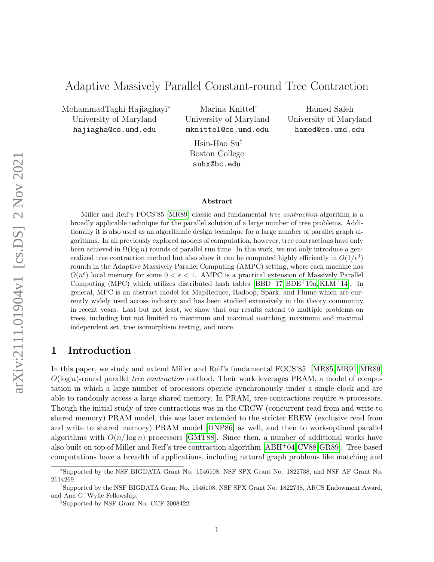# Adaptive Massively Parallel Constant-round Tree Contraction

MohammadTaghi Hajiaghayi<sup>∗</sup> University of Maryland hajiagha@cs.umd.edu

Marina Knittel† University of Maryland mknittel@cs.umd.edu

Hamed Saleh University of Maryland hamed@cs.umd.edu

Hsin-Hao Su‡ Boston College suhx@bc.edu

#### Abstract

Miller and Reif's FOCS'85 [\[MR89\]](#page-34-0) classic and fundamental tree contraction algorithm is a broadly applicable technique for the parallel solution of a large number of tree problems. Additionally it is also used as an algorithmic design technique for a large number of parallel graph algorithms. In all previously explored models of computation, however, tree contractions have only been achieved in  $\Omega(\log n)$  rounds of parallel run time. In this work, we not only introduce a generalized tree contraction method but also show it can be computed highly efficiently in  $O(1/\epsilon^3)$ rounds in the Adaptive Massively Parallel Computing (AMPC) setting, where each machine has  $O(n^{\epsilon})$  local memory for some  $0 < \epsilon < 1$ . AMPC is a practical extension of Massively Parallel Computing (MPC) which utilizes distributed hash tables  $[BBD+17, BDE+19a, KLM+14]$  $[BBD+17, BDE+19a, KLM+14]$  $[BBD+17, BDE+19a, KLM+14]$  $[BBD+17, BDE+19a, KLM+14]$  $[BBD+17, BDE+19a, KLM+14]$  $[BBD+17, BDE+19a, KLM+14]$ . In general, MPC is an abstract model for MapReduce, Hadoop, Spark, and Flume which are currently widely used across industry and has been studied extensively in the theory community in recent years. Last but not least, we show that our results extend to multiple problems on trees, including but not limited to maximum and maximal matching, maximum and maximal independent set, tree isomorphism testing, and more.

## 1 Introduction

In this paper, we study and extend Miller and Reif's fundamental FOCS'85 [\[MR85,](#page-34-1) [MR91,](#page-34-2) [MR89\]](#page-34-0)  $O(\log n)$ -round parallel *tree contraction* method. Their work leverages PRAM, a model of computation in which a large number of processors operate synchronously under a single clock and are able to randomly access a large shared memory. In PRAM, tree contractions require  $n$  processors. Though the initial study of tree contractions was in the CRCW (concurrent read from and write to shared memory) PRAM model, this was later extended to the stricter EREW (exclusive read from and write to shared memory) PRAM model [\[DNP86\]](#page-32-0) as well, and then to work-optimal parallel algorithms with  $O(n/\log n)$  processors [\[GMT88\]](#page-33-1). Since then, a number of additional works have also built on top of Miller and Reif's tree contraction algorithm [\[ABH](#page-30-0)+04[,CV88,](#page-32-1)[GR89\]](#page-33-2). Tree-based computations have a breadth of applications, including natural graph problems like matching and

<sup>∗</sup>Supported by the NSF BIGDATA Grant No. 1546108, NSF SPX Grant No. 1822738, and NSF AF Grant No. 2114269.

<sup>†</sup>Supported by the NSF BIGDATA Grant No. 1546108, NSF SPX Grant No. 1822738, ARCS Endowment Award, and Ann G. Wylie Fellowship.

<sup>‡</sup>Supported by NSF Grant No. CCF-2008422.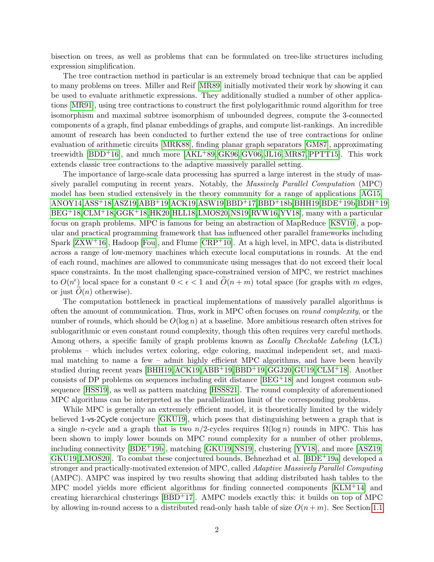bisection on trees, as well as problems that can be formulated on tree-like structures including expression simplification.

The tree contraction method in particular is an extremely broad technique that can be applied to many problems on trees. Miller and Reif [\[MR89\]](#page-34-0) initially motivated their work by showing it can be used to evaluate arithmetic expressions. They additionally studied a number of other applications [\[MR91\]](#page-34-2), using tree contractions to construct the first polylogarithmic round algorithm for tree isomorphism and maximal subtree isomorphism of unbounded degrees, compute the 3-connected components of a graph, find planar embeddings of graphs, and compute list-rankings. An incredible amount of research has been conducted to further extend the use of tree contractions for online evaluation of arithmetic circuits [\[MRK88\]](#page-34-3), finding planar graph separators [\[GM87\]](#page-33-3), approximating treewidth  $[BDD+16]$  $[BDD+16]$ , and much more  $[AKL+89, GK96, GV06, JL16, MR87, PPTT15]$  $[AKL+89, GK96, GV06, JL16, MR87, PPTT15]$  $[AKL+89, GK96, GV06, JL16, MR87, PPTT15]$  $[AKL+89, GK96, GV06, JL16, MR87, PPTT15]$  $[AKL+89, GK96, GV06, JL16, MR87, PPTT15]$  $[AKL+89, GK96, GV06, JL16, MR87, PPTT15]$  $[AKL+89, GK96, GV06, JL16, MR87, PPTT15]$ . This work extends classic tree contractions to the adaptive massively parallel setting.

The importance of large-scale data processing has spurred a large interest in the study of massively parallel computing in recent years. Notably, the Massively Parallel Computation (MPC) model has been studied extensively in the theory community for a range of applications [\[AG15,](#page-30-2) [ANOY14,](#page-30-3)[ASS](#page-30-4)+18[,ASZ19,](#page-31-3)[ABB](#page-30-5)+19[,ACK19,](#page-30-6)[ASW19,](#page-31-4)[BBD](#page-31-0)+17[,BBD](#page-31-5)+18b[,BHH19,](#page-32-3)[BDE](#page-31-6)+19b[,BDH](#page-31-7)+19, [BEG](#page-32-4)+18,[CLM](#page-32-5)+18[,GGK](#page-32-6)+18[,HK20,](#page-33-6)[HLL18,](#page-33-7)[LMOS20,](#page-33-8)[NS19,](#page-34-6)[RVW16,](#page-34-7)[YV18\]](#page-34-8), many with a particular focus on graph problems. MPC is famous for being an abstraction of MapReduce [\[KSV10\]](#page-33-9), a popular and practical programming framework that has influenced other parallel frameworks including Spark  $[ZXW^+16]$  $[ZXW^+16]$ , Hadoop [\[Fou\]](#page-32-7), and Flume  $[CRP^+10]$  $[CRP^+10]$ . At a high level, in MPC, data is distributed across a range of low-memory machines which execute local computations in rounds. At the end of each round, machines are allowed to communicate using messages that do not exceed their local space constraints. In the most challenging space-constrained version of MPC, we restrict machines to  $O(n^{\epsilon})$  local space for a constant  $0 < \epsilon < 1$  and  $\widetilde{O}(n+m)$  total space (for graphs with m edges, or just  $O(n)$  otherwise).

The computation bottleneck in practical implementations of massively parallel algorithms is often the amount of communication. Thus, work in MPC often focuses on round complexity, or the number of rounds, which should be  $O(\log n)$  at a baseline. More ambitious research often strives for sublogarithmic or even constant round complexity, though this often requires very careful methods. Among others, a specific family of graph problems known as Locally Checkable Labeling (LCL) problems – which includes vertex coloring, edge coloring, maximal independent set, and maximal matching to name a few – admit highly efficient MPC algorithms, and have been heavily studied during recent years [\[BHH19,](#page-32-3)[ACK19,](#page-30-6)[ABB](#page-30-5)+19,[BBD](#page-31-8)+19,[GGJ20,](#page-32-9)[GU19,](#page-33-10)[CLM](#page-32-5)+18]. Another consists of DP problems on sequences including edit distance [\[BEG](#page-32-4)+18] and longest common subsequence [\[HSS19\]](#page-33-11), as well as pattern matching [\[HSSS21\]](#page-33-12). The round complexity of aforementioned MPC algorithms can be interpreted as the parallelization limit of the corresponding problems.

While MPC is generally an extremely efficient model, it is theoretically limited by the widely believed 1-vs-2Cycle conjecture [\[GKU19\]](#page-32-10), which poses that distinguishing between a graph that is a single n-cycle and a graph that is two n/2-cycles requires  $\Omega(\log n)$  rounds in MPC. This has been shown to imply lower bounds on MPC round complexity for a number of other problems, including connectivity [\[BDE](#page-31-6)+19b], matching [\[GKU19,](#page-32-10)[NS19\]](#page-34-6), clustering [\[YV18\]](#page-34-8), and more [\[ASZ19,](#page-31-3) [GKU19,](#page-32-10)[LMOS20\]](#page-33-8). To combat these conjectured bounds, Behnezhad et al. [\[BDE](#page-31-1)+19a] developed a stronger and practically-motivated extension of MPC, called Adaptive Massively Parallel Computing (AMPC). AMPC was inspired by two results showing that adding distributed hash tables to the MPC model yields more efficient algorithms for finding connected components [\[KLM](#page-33-0)+14] and creating hierarchical clusterings [\[BBD](#page-31-0)+17]. AMPC models exactly this: it builds on top of MPC by allowing in-round access to a distributed read-only hash table of size  $O(n+m)$ . See Section [1.1](#page-2-0)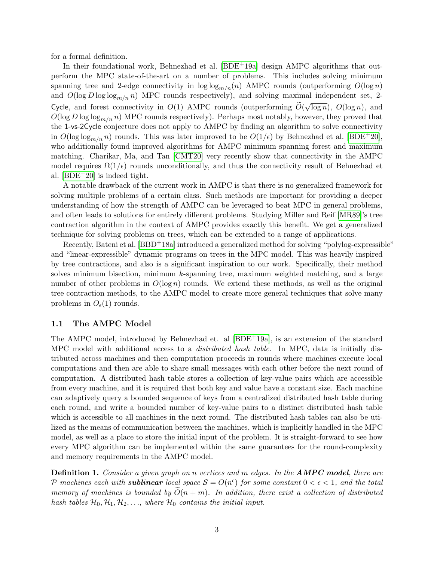for a formal definition.

In their foundational work, Behnezhad et al. [\[BDE](#page-31-1)+19a] design AMPC algorithms that outperform the MPC state-of-the-art on a number of problems. This includes solving minimum spanning tree and 2-edge connectivity in  $\log \log_{m/n}(n)$  AMPC rounds (outperforming  $O(\log n)$ ) and  $O(\log D \log \log_{m/n} n)$  MPC rounds respectively), and solving maximal independent set, 2-Cycle, and forest connectivity in  $O(1)$  AMPC rounds (outperforming  $O($ √  $\overline{\log n}$ ,  $O(\log n)$ , and  $O(\log D \log \log_{m/n} n)$  MPC rounds respectively). Perhaps most notably, however, they proved that the 1-vs-2Cycle conjecture does not apply to AMPC by finding an algorithm to solve connectivity in  $O(\log \log_{m/n} n)$  rounds. This was later improved to be  $O(1/\epsilon)$  by Behnezhad et al. [\[BDE](#page-31-9)<sup>+</sup>20], who additionally found improved algorithms for AMPC minimum spanning forest and maximum matching. Charikar, Ma, and Tan [\[CMT20\]](#page-32-11) very recently show that connectivity in the AMPC model requires  $\Omega(1/\epsilon)$  rounds unconditionally, and thus the connectivity result of Behnezhad et al. [\[BDE](#page-31-9)+20] is indeed tight.

A notable drawback of the current work in AMPC is that there is no generalized framework for solving multiple problems of a certain class. Such methods are important for providing a deeper understanding of how the strength of AMPC can be leveraged to beat MPC in general problems, and often leads to solutions for entirely different problems. Studying Miller and Reif [\[MR89\]](#page-34-0)'s tree contraction algorithm in the context of AMPC provides exactly this benefit. We get a generalized technique for solving problems on trees, which can be extended to a range of applications.

Recently, Bateni et al. [\[BBD](#page-31-10)+18a] introduced a generalized method for solving "polylog-expressible" and "linear-expressible" dynamic programs on trees in the MPC model. This was heavily inspired by tree contractions, and also is a significant inspiration to our work. Specifically, their method solves minimum bisection, minimum  $k$ -spanning tree, maximum weighted matching, and a large number of other problems in  $O(\log n)$  rounds. We extend these methods, as well as the original tree contraction methods, to the AMPC model to create more general techniques that solve many problems in  $O_{\epsilon}(1)$  rounds.

#### <span id="page-2-0"></span>1.1 The AMPC Model

The AMPC model, introduced by Behnezhad et. al [\[BDE](#page-31-1)+19a], is an extension of the standard MPC model with additional access to a *distributed hash table*. In MPC, data is initially distributed across machines and then computation proceeds in rounds where machines execute local computations and then are able to share small messages with each other before the next round of computation. A distributed hash table stores a collection of key-value pairs which are accessible from every machine, and it is required that both key and value have a constant size. Each machine can adaptively query a bounded sequence of keys from a centralized distributed hash table during each round, and write a bounded number of key-value pairs to a distinct distributed hash table which is accessible to all machines in the next round. The distributed hash tables can also be utilized as the means of communication between the machines, which is implicitly handled in the MPC model, as well as a place to store the initial input of the problem. It is straight-forward to see how every MPC algorithm can be implemented within the same guarantees for the round-complexity and memory requirements in the AMPC model.

**Definition 1.** Consider a given graph on n vertices and m edges. In the **AMPC model**, there are P machines each with **sublinear** local space  $S = O(n^{\epsilon})$  for some constant  $0 < \epsilon < 1$ , and the total memory of machines is bounded by  $O(n + m)$ . In addition, there exist a collection of distributed hash tables  $\mathcal{H}_0, \mathcal{H}_1, \mathcal{H}_2, \ldots$ , where  $\mathcal{H}_0$  contains the initial input.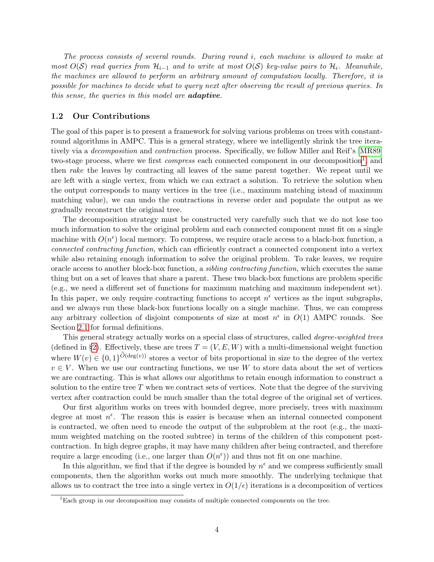The process consists of several rounds. During round i, each machine is allowed to make at most  $O(S)$  read queries from  $\mathcal{H}_{i-1}$  and to write at most  $O(S)$  key-value pairs to  $\mathcal{H}_i$ . Meanwhile, the machines are allowed to perform an arbitrary amount of computation locally. Therefore, it is possible for machines to decide what to query next after observing the result of previous queries. In this sense, the queries in this model are adaptive.

#### 1.2 Our Contributions

The goal of this paper is to present a framework for solving various problems on trees with constantround algorithms in AMPC. This is a general strategy, where we intelligently shrink the tree iteratively via a *decomposition* and *contraction* process. Specifically, we follow Miller and Reif's [\[MR89\]](#page-34-0) two-stage process, where we first *compress* each connected component in our decomposition<sup>[1](#page-3-0)</sup>, and then rake the leaves by contracting all leaves of the same parent together. We repeat until we are left with a single vertex, from which we can extract a solution. To retrieve the solution when the output corresponds to many vertices in the tree (i.e., maximum matching istead of maximum matching value), we can undo the contractions in reverse order and populate the output as we gradually reconstruct the original tree.

The decomposition strategy must be constructed very carefully such that we do not lose too much information to solve the original problem and each connected component must fit on a single machine with  $O(n^{\epsilon})$  local memory. To compress, we require oracle access to a black-box function, a connected contracting function, which can efficiently contract a connected component into a vertex while also retaining enough information to solve the original problem. To rake leaves, we require oracle access to another block-box function, a sibling contracting function, which executes the same thing but on a set of leaves that share a parent. These two black-box functions are problem specific (e.g., we need a different set of functions for maximum matching and maximum independent set). In this paper, we only require contracting functions to accept  $n^{\epsilon}$  vertices as the input subgraphs, and we always run these black-box functions locally on a single machine. Thus, we can compress any arbitrary collection of disjoint components of size at most  $n^{\epsilon}$  in  $O(1)$  AMPC rounds. See Section [2.1](#page-6-0) for formal definitions.

This general strategy actually works on a special class of structures, called *degree-weighted trees* (defined in §[2\)](#page-6-1). Effectively, these are trees  $T = (V, E, W)$  with a multi-dimensional weight function where  $W(v) \in \{0,1\}^{O(\deg(v))}$  stores a vector of bits proportional in size to the degree of the vertex  $v \in V$ . When we use our contracting functions, we use W to store data about the set of vertices we are contracting. This is what allows our algorithms to retain enough information to construct a solution to the entire tree  $T$  when we contract sets of vertices. Note that the degree of the surviving vertex after contraction could be much smaller than the total degree of the original set of vertices.

Our first algorithm works on trees with bounded degree, more precisely, trees with maximum degree at most  $n^{\epsilon}$ . The reason this is easier is because when an internal connected component is contracted, we often need to encode the output of the subproblem at the root (e.g., the maximum weighted matching on the rooted subtree) in terms of the children of this component postcontraction. In high degree graphs, it may have many children after being contracted, and therefore require a large encoding (i.e., one larger than  $O(n^{\epsilon})$ ) and thus not fit on one machine.

In this algorithm, we find that if the degree is bounded by  $n^{\epsilon}$  and we compress sufficiently small components, then the algorithm works out much more smoothly. The underlying technique that allows us to contract the tree into a single vertex in  $O(1/\epsilon)$  iterations is a decomposition of vertices

<span id="page-3-0"></span><sup>&</sup>lt;sup>1</sup>Each group in our decomposition may consists of multiple connected components on the tree.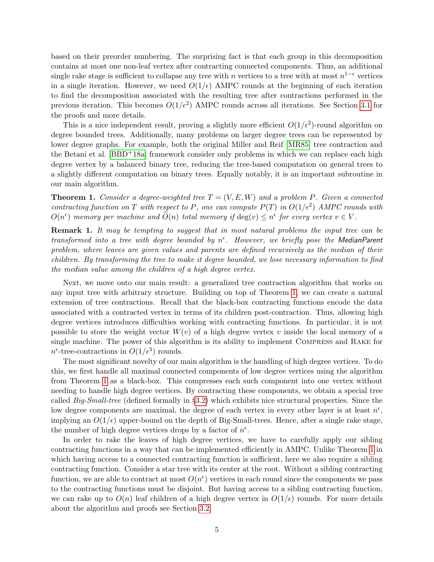based on their preorder numbering. The surprising fact is that each group in this decomposition contains at most one non-leaf vertex after contracting connected components. Thus, an additional single rake stage is sufficient to collapse any tree with n vertices to a tree with at most  $n^{1-\epsilon}$  vertices in a single iteration. However, we need  $O(1/\epsilon)$  AMPC rounds at the beginning of each iteration to find the decomposition associated with the resulting tree after contractions performed in the previous iteration. This becomes  $O(1/\epsilon^2)$  AMPC rounds across all iterations. See Section [3.1](#page-9-0) for the proofs and more details.

This is a nice independent result, proving a slightly more efficient  $O(1/\epsilon^2)$ -round algorithm on degree bounded trees. Additionally, many problems on larger degree trees can be represented by lower degree graphs. For example, both the original Miller and Reif [\[MR85\]](#page-34-1) tree contraction and the Betani et al. [\[BBD](#page-31-10)+18a] framework consider only problems in which we can replace each high degree vertex by a balanced binary tree, reducing the tree-based computation on general trees to a slightly different computation on binary trees. Equally notably, it is an important subroutine in our main algorithm.

<span id="page-4-0"></span>**Theorem 1.** Consider a degree-weighted tree  $T = (V, E, W)$  and a problem P. Given a connected contracting function on T with respect to P, one can compute  $P(T)$  in  $O(1/\epsilon^2)$  AMPC rounds with  $O(n^{\epsilon})$  memory per machine and  $\widetilde{O}(n)$  total memory if  $\deg(v) \leq n^{\epsilon}$  for every vertex  $v \in V$ .

<span id="page-4-1"></span>**Remark 1.** It may be tempting to suggest that in most natural problems the input tree can be transformed into a tree with degree bounded by  $n^{\epsilon}$ . However, we briefly pose the MedianParent problem, where leaves are given values and parents are defined recursively as the median of their children. By transforming the tree to make it degree bounded, we lose necessary information to find the median value among the children of a high degree vertex.

Next, we move onto our main result: a generalized tree contraction algorithm that works on any input tree with arbitrary structure. Building on top of Theorem [1,](#page-4-0) we can create a natural extension of tree contractions. Recall that the black-box contracting functions encode the data associated with a contracted vertex in terms of its children post-contraction. Thus, allowing high degree vertices introduces difficulties working with contracting functions. In particular, it is not possible to store the weight vector  $W(v)$  of a high degree vertex v inside the local memory of a single machine. The power of this algorithm is its ability to implement Compress and Rake for  $n^{\epsilon}$ -tree-contractions in  $O(1/\epsilon^3)$  rounds.

The most significant novelty of our main algorithm is the handling of high degree vertices. To do this, we first handle all maximal connected components of low degree vertices using the algorithm from Theorem [1](#page-4-0) as a black-box. This compresses each such component into one vertex without needing to handle high degree vertices. By contracting these components, we obtain a special tree called Big-Small-tree (defined formally in §[3.2\)](#page-12-0) which exhibits nice structural properties. Since the low degree components are maximal, the degree of each vertex in every other layer is at least  $n^{\epsilon}$ , implying an  $O(1/\epsilon)$  upper-bound on the depth of Big-Small-trees. Hence, after a single rake stage, the number of high degree vertices drops by a factor of  $n^{\epsilon}$ .

In order to rake the leaves of high degree vertices, we have to carefully apply our sibling contracting functions in a way that can be implemented efficiently in AMPC. Unlike Theorem [1](#page-4-0) in which having access to a connected contracting function is sufficient, here we also require a sibling contracting function. Consider a star tree with its center at the root. Without a sibling contracting function, we are able to contract at most  $O(n^{\epsilon})$  vertices in each round since the components we pass to the contracting functions must be disjoint. But having access to a sibling contracting function, we can rake up to  $O(n)$  leaf children of a high degree vertex in  $O(1/\epsilon)$  rounds. For more details about the algorithm and proofs see Section [3.2.](#page-12-0)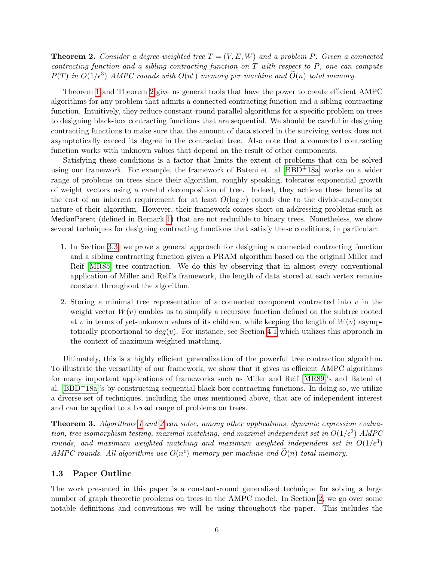<span id="page-5-0"></span>**Theorem 2.** Consider a degree-weighted tree  $T = (V, E, W)$  and a problem P. Given a connected contracting function and a sibling contracting function on T with respect to P, one can compute  $P(T)$  in  $O(1/\epsilon^3)$  AMPC rounds with  $O(n^{\epsilon})$  memory per machine and  $\widetilde{O}(n)$  total memory.

Theorem [1](#page-4-0) and Theorem [2](#page-5-0) give us general tools that have the power to create efficient AMPC algorithms for any problem that admits a connected contracting function and a sibling contracting function. Intuitively, they reduce constant-round parallel algorithms for a specific problem on trees to designing black-box contracting functions that are sequential. We should be careful in designing contracting functions to make sure that the amount of data stored in the surviving vertex does not asymptotically exceed its degree in the contracted tree. Also note that a connected contracting function works with unknown values that depend on the result of other components.

Satisfying these conditions is a factor that limits the extent of problems that can be solved using our framework. For example, the framework of Bateni et. al  $[BBD<sup>+</sup>18a]$  $[BBD<sup>+</sup>18a]$  works on a wider range of problems on trees since their algorithm, roughly speaking, tolerates exponential growth of weight vectors using a careful decomposition of tree. Indeed, they achieve these benefits at the cost of an inherent requirement for at least  $O(\log n)$  rounds due to the divide-and-conquer nature of their algorithm. However, their framework comes short on addressing problems such as MedianParent (defined in Remark [1\)](#page-4-1) that are not reducible to binary trees. Nonetheless, we show several techniques for designing contracting functions that satisfy these conditions, in particular:

- 1. In Section [3.3,](#page-15-0) we prove a general approach for designing a connected contracting function and a sibling contracting function given a PRAM algorithm based on the original Miller and Reif [\[MR85\]](#page-34-1) tree contraction. We do this by observing that in almost every conventional application of Miller and Reif's framework, the length of data stored at each vertex remains constant throughout the algorithm.
- 2. Storing a minimal tree representation of a connected component contracted into  $v$  in the weight vector  $W(v)$  enables us to simplify a recursive function defined on the subtree rooted at v in terms of yet-unknown values of its children, while keeping the length of  $W(v)$  asymptotically proportional to  $deg(v)$ . For instance, see Section [4.1](#page-18-0) which utilizes this approach in the context of maximum weighted matching.

Ultimately, this is a highly efficient generalization of the powerful tree contraction algorithm. To illustrate the versatility of our framework, we show that it gives us efficient AMPC algorithms for many important applications of frameworks such as Miller and Reif [\[MR89\]](#page-34-0)'s and Bateni et al.  $[BBD<sup>+</sup>18a]$  $[BBD<sup>+</sup>18a]$ 's by constructing sequential black-box contracting functions. In doing so, we utilize a diverse set of techniques, including the ones mentioned above, that are of independent interest and can be applied to a broad range of problems on trees.

<span id="page-5-1"></span>**Theorem 3.** Algorithms [1](#page-10-0) and [2](#page-13-0) can solve, among other applications, dynamic expression evaluation, tree isomorphism testing, maximal matching, and maximal independent set in  $O(1/\epsilon^2)$  AMPC rounds, and maximum weighted matching and maximum weighted independent set in  $O(1/\epsilon^3)$ AMPC rounds. All algorithms use  $O(n^{\epsilon})$  memory per machine and  $\widetilde{O}(n)$  total memory.

#### 1.3 Paper Outline

The work presented in this paper is a constant-round generalized technique for solving a large number of graph theoretic problems on trees in the AMPC model. In Section [2,](#page-6-1) we go over some notable definitions and conventions we will be using throughout the paper. This includes the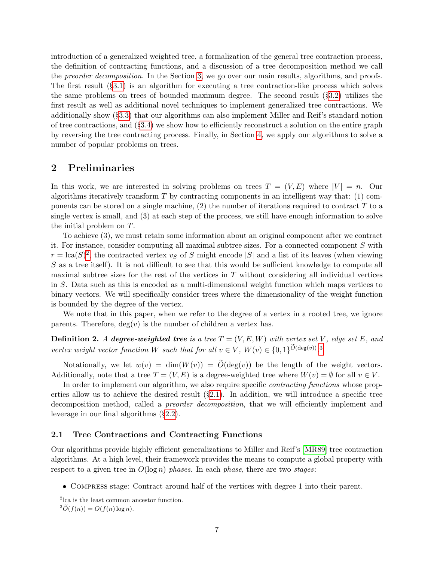introduction of a generalized weighted tree, a formalization of the general tree contraction process, the definition of contracting functions, and a discussion of a tree decomposition method we call the preorder decomposition. In the Section [3,](#page-8-0) we go over our main results, algorithms, and proofs. The first result (§[3.1\)](#page-9-0) is an algorithm for executing a tree contraction-like process which solves the same problems on trees of bounded maximum degree. The second result (§[3.2\)](#page-12-0) utilizes the first result as well as additional novel techniques to implement generalized tree contractions. We additionally show (§[3.3\)](#page-15-0) that our algorithms can also implement Miller and Reif's standard notion of tree contractions, and (§[3.4\)](#page-17-0) we show how to efficiently reconstruct a solution on the entire graph by reversing the tree contracting process. Finally, in Section [4,](#page-18-1) we apply our algorithms to solve a number of popular problems on trees.

### <span id="page-6-1"></span>2 Preliminaries

In this work, we are interested in solving problems on trees  $T = (V, E)$  where  $|V| = n$ . Our algorithms iteratively transform  $T$  by contracting components in an intelligent way that: (1) components can be stored on a single machine,  $(2)$  the number of iterations required to contract T to a single vertex is small, and (3) at each step of the process, we still have enough information to solve the initial problem on T.

To achieve (3), we must retain some information about an original component after we contract it. For instance, consider computing all maximal subtree sizes. For a connected component  $S$  with  $r = \text{lca}(S)^2$  $r = \text{lca}(S)^2$ , the contracted vertex  $v_S$  of S might encode |S| and a list of its leaves (when viewing S as a tree itself). It is not difficult to see that this would be sufficient knowledge to compute all maximal subtree sizes for the rest of the vertices in  $T$  without considering all individual vertices in S. Data such as this is encoded as a multi-dimensional weight function which maps vertices to binary vectors. We will specifically consider trees where the dimensionality of the weight function is bounded by the degree of the vertex.

We note that in this paper, when we refer to the degree of a vertex in a rooted tree, we ignore parents. Therefore,  $deg(v)$  is the number of children a vertex has.

**Definition 2.** A degree-weighted tree is a tree  $T = (V, E, W)$  with vertex set V, edge set E, and vertex weight vector function W such that for all  $v \in V$ ,  $W(v) \in \{0,1\}^{O(\deg(v))}$ .

Notationally, we let  $w(v) = \dim(W(v)) = \widetilde{O}(\deg(v))$  be the length of the weight vectors. Additionally, note that a tree  $T = (V, E)$  is a degree-weighted tree where  $W(v) = \emptyset$  for all  $v \in V$ .

In order to implement our algorithm, we also require specific *contracting functions* whose properties allow us to achieve the desired result  $(\S2.1)$  $(\S2.1)$ . In addition, we will introduce a specific tree decomposition method, called a *preorder decomposition*, that we will efficiently implement and leverage in our final algorithms (§[2.2\)](#page-8-1).

#### <span id="page-6-0"></span>2.1 Tree Contractions and Contracting Functions

Our algorithms provide highly efficient generalizations to Miller and Reif's [\[MR89\]](#page-34-0) tree contraction algorithms. At a high level, their framework provides the means to compute a global property with respect to a given tree in  $O(\log n)$  phases. In each phase, there are two stages:

• Compress stage: Contract around half of the vertices with degree 1 into their parent.

<span id="page-6-2"></span><sup>2</sup> lca is the least common ancestor function.

<span id="page-6-3"></span> ${}^3\widetilde{O}(f(n)) = O(f(n)\log n).$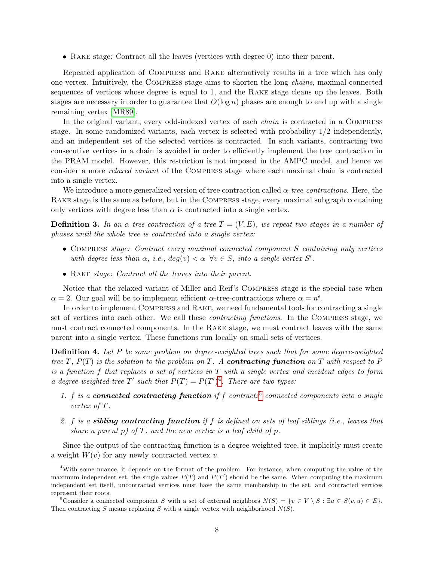• RAKE stage: Contract all the leaves (vertices with degree 0) into their parent.

Repeated application of Compress and Rake alternatively results in a tree which has only one vertex. Intuitively, the Compress stage aims to shorten the long chains, maximal connected sequences of vertices whose degree is equal to 1, and the Rake stage cleans up the leaves. Both stages are necessary in order to guarantee that  $O(\log n)$  phases are enough to end up with a single remaining vertex [\[MR89\]](#page-34-0).

In the original variant, every odd-indexed vertex of each chain is contracted in a Compress stage. In some randomized variants, each vertex is selected with probability 1/2 independently, and an independent set of the selected vertices is contracted. In such variants, contracting two consecutive vertices in a chain is avoided in order to efficiently implement the tree contraction in the PRAM model. However, this restriction is not imposed in the AMPC model, and hence we consider a more relaxed variant of the Compress stage where each maximal chain is contracted into a single vertex.

We introduce a more generalized version of tree contraction called  $\alpha$ -tree-contractions. Here, the RAKE stage is the same as before, but in the COMPRESS stage, every maximal subgraph containing only vertices with degree less than  $\alpha$  is contracted into a single vertex.

<span id="page-7-3"></span>**Definition 3.** In an  $\alpha$ -tree-contraction of a tree  $T = (V, E)$ , we repeat two stages in a number of phases until the whole tree is contracted into a single vertex:

- COMPRESS stage: Contract every maximal connected component S containing only vertices with degree less than  $\alpha$ , i.e.,  $deg(v) < \alpha \ \forall v \in S$ , into a single vertex S'.
- RAKE stage: Contract all the leaves into their parent.

Notice that the relaxed variant of Miller and Reif's Compress stage is the special case when  $\alpha = 2$ . Our goal will be to implement efficient  $\alpha$ -tree-contractions where  $\alpha = n^{\epsilon}$ .

In order to implement Compress and Rake, we need fundamental tools for contracting a single set of vertices into each other. We call these contracting functions. In the Compress stage, we must contract connected components. In the Rake stage, we must contract leaves with the same parent into a single vertex. These functions run locally on small sets of vertices.

<span id="page-7-2"></span>**Definition 4.** Let P be some problem on degree-weighted trees such that for some degree-weighted tree T,  $P(T)$  is the solution to the problem on T. A **contracting function** on T with respect to P is a function f that replaces a set of vertices in  $T$  with a single vertex and incident edges to form a degree-weighted tree T' such that  $P(T) = P(T')^4$  $P(T) = P(T')^4$ . There are two types:

- 1. f is a connected contracting function if f contracts<sup>[5](#page-7-1)</sup> connected components into a single vertex of T.
- 2. f is a sibling contracting function if f is defined on sets of leaf siblings (i.e., leaves that share a parent p) of T, and the new vertex is a leaf child of p.

Since the output of the contracting function is a degree-weighted tree, it implicitly must create a weight  $W(v)$  for any newly contracted vertex v.

<span id="page-7-0"></span><sup>4</sup>With some nuance, it depends on the format of the problem. For instance, when computing the value of the maximum independent set, the single values  $P(T)$  and  $P(T')$  should be the same. When computing the maximum independent set itself, uncontracted vertices must have the same membership in the set, and contracted vertices represent their roots.

<span id="page-7-1"></span><sup>&</sup>lt;sup>5</sup>Consider a connected component S with a set of external neighbors  $N(S) = \{v \in V \setminus S : \exists u \in S(v, u) \in E\}.$ Then contracting S means replacing S with a single vertex with neighborhood  $N(S)$ .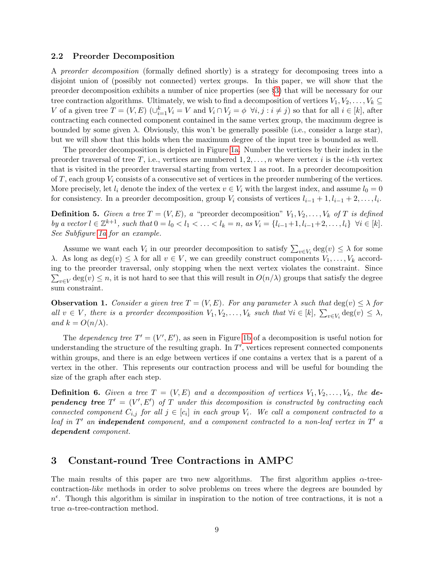#### <span id="page-8-1"></span>2.2 Preorder Decomposition

A preorder decomposition (formally defined shortly) is a strategy for decomposing trees into a disjoint union of (possibly not connected) vertex groups. In this paper, we will show that the preorder decomposition exhibits a number of nice properties (see §[3\)](#page-8-0) that will be necessary for our tree contraction algorithms. Ultimately, we wish to find a decomposition of vertices  $V_1, V_2, \ldots, V_k \subseteq$ V of a given tree  $T = (V, E)$   $(\bigcup_{i=1}^{k} V_i = V$  and  $V_i \cap V_j = \phi \ \forall i, j : i \neq j)$  so that for all  $i \in [k]$ , after contracting each connected component contained in the same vertex group, the maximum degree is bounded by some given  $\lambda$ . Obviously, this won't be generally possible (i.e., consider a large star), but we will show that this holds when the maximum degree of the input tree is bounded as well.

The preorder decomposition is depicted in Figure [1a.](#page-9-1) Number the vertices by their index in the preorder traversal of tree T, i.e., vertices are numbered  $1, 2, \ldots, n$  where vertex i is the i-th vertex that is visited in the preorder traversal starting from vertex 1 as root. In a preorder decomposition of T, each group  $V_i$  consists of a consecutive set of vertices in the preorder numbering of the vertices. More precisely, let  $l_i$  denote the index of the vertex  $v \in V_i$  with the largest index, and assume  $l_0 = 0$ for consistency. In a preorder decomposition, group  $V_i$  consists of vertices  $l_{i-1}+1, l_{i-1}+2, \ldots, l_i$ .

**Definition 5.** Given a tree  $T = (V, E)$ , a "preorder decomposition"  $V_1, V_2, \ldots, V_k$  of T is defined by a vector  $l \in \mathbb{Z}^{k+1}$ , such that  $0 = l_0 < l_1 < \ldots < l_k = n$ , as  $V_i = \{l_{i-1}+1, l_{i-1}+2, \ldots, l_i\} \ \forall i \in [k]$ . See Subfigure [1a](#page-9-1) for an example.

Assume we want each  $V_i$  in our preorder decomposition to satisfy  $\sum_{v \in V_i} \deg(v) \leq \lambda$  for some λ. As long as  $deg(v) \leq \lambda$  for all  $v \in V$ , we can greedily construct components  $V_1, \ldots, V_k$  according to the preorder traversal, only stopping when the next vertex violates the constraint. Since  $\sum_{v\in V} \deg(v) \leq n$ , it is not hard to see that this will result in  $O(n/\lambda)$  groups that satisfy the degree sum constraint.

<span id="page-8-2"></span>**Observation 1.** Consider a given tree  $T = (V, E)$ . For any parameter  $\lambda$  such that  $\deg(v) \leq \lambda$  for all  $v \in V$ , there is a preorder decomposition  $V_1, V_2, \ldots, V_k$  such that  $\forall i \in [k]$ ,  $\sum_{v \in V_i} \deg(v) \leq \lambda$ , and  $k = O(n/\lambda)$ .

The *dependency tree*  $T' = (V', E')$ , as seen in Figure [1b](#page-9-1) of a decomposition is useful notion for understanding the structure of the resulting graph. In  $T'$ , vertices represent connected components within groups, and there is an edge between vertices if one contains a vertex that is a parent of a vertex in the other. This represents our contraction process and will be useful for bounding the size of the graph after each step.

<span id="page-8-3"></span>**Definition 6.** Given a tree  $T = (V, E)$  and a decomposition of vertices  $V_1, V_2, \ldots, V_k$ , the de**pendency tree**  $T' = (V', E')$  of T under this decomposition is constructed by contracting each connected component  $C_{i,j}$  for all  $j \in [c_i]$  in each group  $V_i$ . We call a component contracted to a leaf in  $T'$  an **independent** component, and a component contracted to a non-leaf vertex in  $T'$  a dependent component.

### <span id="page-8-0"></span>3 Constant-round Tree Contractions in AMPC

The main results of this paper are two new algorithms. The first algorithm applies  $\alpha$ -treecontraction-like methods in order to solve problems on trees where the degrees are bounded by  $n^{\epsilon}$ . Though this algorithm is similar in inspiration to the notion of tree contractions, it is not a true  $\alpha$ -tree-contraction method.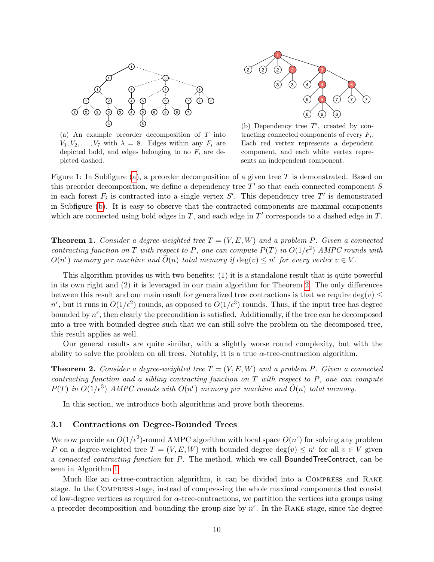<span id="page-9-1"></span>

(a) An example preorder decomposition of T into  $V_1, V_2, \ldots, V_7$  with  $\lambda = 8$ . Edges within any  $F_i$  are depicted bold, and edges belonging to no  $F_i$  are depicted dashed.



(b) Dependency tree  $T'$ , created by contracting connected components of every  $F_i$ . Each red vertex represents a dependent component, and each white vertex represents an independent component.

Figure 1: In Subfigure [\(a\)](#page-9-1), a preorder decomposition of a given tree T is demonstrated. Based on this preorder decomposition, we define a dependency tree  $T'$  so that each connected component S in each forest  $F_i$  is contracted into a single vertex  $S'$ . This dependency tree  $T'$  is demonstrated in Subfigure [\(b\)](#page-9-1). It is easy to observe that the contracted components are maximal components which are connected using bold edges in  $T$ , and each edge in  $T'$  corresponds to a dashed edge in  $T$ .

**Theorem 1.** Consider a degree-weighted tree  $T = (V, E, W)$  and a problem P. Given a connected contracting function on T with respect to P, one can compute  $P(T)$  in  $O(1/\epsilon^2)$  AMPC rounds with  $O(n^{\epsilon})$  memory per machine and  $\widetilde{O}(n)$  total memory if  $\deg(v) \leq n^{\epsilon}$  for every vertex  $v \in V$ .

This algorithm provides us with two benefits: (1) it is a standalone result that is quite powerful in its own right and (2) it is leveraged in our main algorithm for Theorem [2.](#page-5-0) The only differences between this result and our main result for generalized tree contractions is that we require deg(v)  $\leq$  $n^{\epsilon}$ , but it runs in  $O(1/\epsilon^2)$  rounds, as opposed to  $O(1/\epsilon^3)$  rounds. Thus, if the input tree has degree bounded by  $n^{\epsilon}$ , then clearly the precondition is satisfied. Additionally, if the tree can be decomposed into a tree with bounded degree such that we can still solve the problem on the decomposed tree, this result applies as well.

Our general results are quite similar, with a slightly worse round complexity, but with the ability to solve the problem on all trees. Notably, it is a true  $\alpha$ -tree-contraction algorithm.

**Theorem 2.** Consider a degree-weighted tree  $T = (V, E, W)$  and a problem P. Given a connected contracting function and a sibling contracting function on  $T$  with respect to  $P$ , one can compute  $P(T)$  in  $O(1/\epsilon^3)$  AMPC rounds with  $O(n^{\epsilon})$  memory per machine and  $\widetilde{O}(n)$  total memory.

In this section, we introduce both algorithms and prove both theorems.

#### <span id="page-9-0"></span>3.1 Contractions on Degree-Bounded Trees

We now provide an  $O(1/\epsilon^2)$ -round AMPC algorithm with local space  $O(n^{\epsilon})$  for solving any problem P on a degree-weighted tree  $T = (V, E, W)$  with bounded degree  $deg(v) \leq n^{\epsilon}$  for all  $v \in V$  given a *connected contracting function* for  $P$ . The method, which we call BoundedTreeContract, can be seen in Algorithm [1.](#page-10-0)

Much like an  $\alpha$ -tree-contraction algorithm, it can be divided into a COMPRESS and RAKE stage. In the Compress stage, instead of compressing the whole maximal components that consist of low-degree vertices as required for  $\alpha$ -tree-contractions, we partition the vertices into groups using a preorder decomposition and bounding the group size by  $n^{\epsilon}$ . In the RAKE stage, since the degree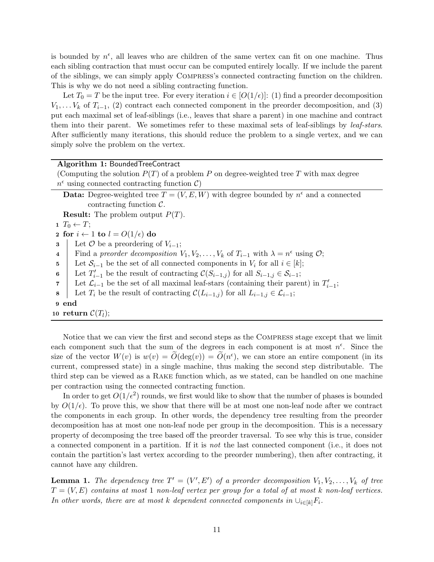is bounded by  $n^{\epsilon}$ , all leaves who are children of the same vertex can fit on one machine. Thus each sibling contraction that must occur can be computed entirely locally. If we include the parent of the siblings, we can simply apply Compress's connected contracting function on the children. This is why we do not need a sibling contracting function.

Let  $T_0 = T$  be the input tree. For every iteration  $i \in [O(1/\epsilon)]$ : (1) find a preorder decomposition  $V_1, \ldots V_k$  of  $T_{i-1}$ , (2) contract each connected component in the preorder decomposition, and (3) put each maximal set of leaf-siblings (i.e., leaves that share a parent) in one machine and contract them into their parent. We sometimes refer to these maximal sets of leaf-siblings by leaf-stars. After sufficiently many iterations, this should reduce the problem to a single vertex, and we can simply solve the problem on the vertex.

#### Algorithm 1: BoundedTreeContract

(Computing the solution  $P(T)$  of a problem P on degree-weighted tree T with max degree  $n^{\epsilon}$  using connected contracting function  $\mathcal{C}$ )

**Data:** Degree-weighted tree  $T = (V, E, W)$  with degree bounded by  $n^{\epsilon}$  and a connected contracting function  $\mathcal{C}$ . **Result:** The problem output  $P(T)$ .  $1 T_0 \leftarrow T;$ 2 for  $i \leftarrow 1$  to  $l = O(1/\epsilon)$  do **3** Let  $\mathcal{O}$  be a preordering of  $V_{i-1}$ ; 4 Find a preorder decomposition  $V_1, V_2, \ldots, V_k$  of  $T_{i-1}$  with  $\lambda = n^{\epsilon}$  using  $\mathcal{O};$ 5 Let  $S_{i-1}$  be the set of all connected components in  $V_i$  for all  $i \in [k]$ ; 6 Let  $T'_{i-1}$  be the result of contracting  $\mathcal{C}(S_{i-1,j})$  for all  $S_{i-1,j} \in \mathcal{S}_{i-1}$ ; 7 Let  $\mathcal{L}_{i-1}$  be the set of all maximal leaf-stars (containing their parent) in  $T'_{i-1}$ ; 8 Let  $T_i$  be the result of contracting  $\mathcal{C}(L_{i-1,j})$  for all  $L_{i-1,j} \in \mathcal{L}_{i-1}$ ; 9 end

<span id="page-10-0"></span>10 return  $\mathcal{C}(T_l)$ ;

Notice that we can view the first and second steps as the Compress stage except that we limit each component such that the sum of the degrees in each component is at most  $n^{\epsilon}$ . Since the size of the vector  $W(v)$  is  $w(v) = \tilde{O}(\deg(v)) = \tilde{O}(n^{\epsilon})$ , we can store an entire component (in its current, compressed state) in a single machine, thus making the second step distributable. The third step can be viewed as a Rake function which, as we stated, can be handled on one machine per contraction using the connected contracting function.

In order to get  $O(1/\epsilon^2)$  rounds, we first would like to show that the number of phases is bounded by  $O(1/\epsilon)$ . To prove this, we show that there will be at most one non-leaf node after we contract the components in each group. In other words, the dependency tree resulting from the preorder decomposition has at most one non-leaf node per group in the decomposition. This is a necessary property of decomposing the tree based off the preorder traversal. To see why this is true, consider a connected component in a partition. If it is not the last connected component (i.e., it does not contain the partition's last vertex according to the preorder numbering), then after contracting, it cannot have any children.

<span id="page-10-1"></span>**Lemma 1.** The dependency tree  $T' = (V', E')$  of a preorder decomposition  $V_1, V_2, \ldots, V_k$  of tree  $T = (V, E)$  contains at most 1 non-leaf vertex per group for a total of at most k non-leaf vertices. In other words, there are at most k dependent connected components in  $\cup_{i\in[k]}F_i$ .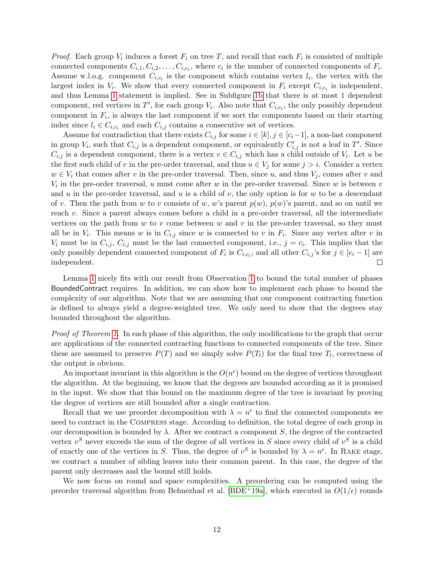*Proof.* Each group  $V_i$  induces a forest  $F_i$  on tree T, and recall that each  $F_i$  is consisted of multiple connected components  $C_{i,1}, C_{i,2}, \ldots, C_{i,c_i}$ , where  $c_i$  is the number of connected components of  $F_i$ . Assume w.l.o.g. component  $C_{i,c_i}$  is the component which contains vertex  $l_i$ , the vertex with the largest index in  $V_i$ . We show that every connected component in  $F_i$  except  $C_{i,c_i}$  is independent, and thus Lemma [1](#page-10-1) statement is implied. See in Subfigure [1b](#page-9-1) that there is at most 1 dependent component, red vertices in  $T'$ , for each group  $V_i$ . Also note that  $C_{i,c_i}$ , the only possibly dependent component in  $F_i$ , is always the last component if we sort the components based on their starting index since  $l_i \in C_{i,c_i}$  and each  $C_{i,j}$  contains a consecutive set of vertices.

Assume for contradiction that there exists  $C_{i,j}$  for some  $i \in [k], j \in [c_i-1]$ , a non-last component in group  $V_i$ , such that  $C_{i,j}$  is a dependent component, or equivalently  $C'_{i,j}$  is not a leaf in T'. Since  $C_{i,j}$  is a dependent component, there is a vertex  $v \in C_{i,j}$  which has a child outside of  $V_i$ . Let u be the first such child of v in the pre-order traversal, and thus  $u \in V_j$  for some  $j > i$ . Consider a vertex  $w \in V_i$  that comes after v in the pre-order traversal. Then, since u, and thus  $V_j$ , comes after v and  $V_i$  in the pre-order traversal, u must come after w in the pre-order traversal. Since w is between v and  $u$  in the pre-order traversal, and  $u$  is a child of  $v$ , the only option is for  $w$  to be a descendant of v. Then the path from w to v consists of w, w's parent  $p(w)$ ,  $p(w)$ 's parent, and so on until we reach v. Since a parent always comes before a child in a pre-order traversal, all the intermediate vertices on the path from  $w$  to  $v$  come between  $w$  and  $v$  in the pre-order traversal, so they must all be in  $V_i$ . This means w is in  $C_{i,j}$  since w is connected to v in  $F_i$ . Since any vertex after v in  $V_i$  must be in  $C_{i,j}$ ,  $C_{i,j}$  must be the last connected component, i.e.,  $j = c_i$ . This implies that the only possibly dependent connected component of  $F_i$  is  $C_{i,c_i}$ , and all other  $C_{i,j}$ 's for  $j \in [c_i - 1]$  are independent.  $\Box$ 

Lemma [1](#page-10-1) nicely fits with our result from Observation [1](#page-8-2) to bound the total number of phases BoundedContract requires. In addition, we can show how to implement each phase to bound the complexity of our algorithm. Note that we are assuming that our component contracting function is defined to always yield a degree-weighted tree. We only need to show that the degrees stay bounded throughout the algorithm.

Proof of Theorem [1.](#page-4-0) In each phase of this algorithm, the only modifications to the graph that occur are applications of the connected contracting functions to connected components of the tree. Since these are assumed to preserve  $P(T)$  and we simply solve  $P(T_l)$  for the final tree  $T_l$ , correctness of the output is obvious.

An important invariant in this algorithm is the  $O(n^{\epsilon})$  bound on the degree of vertices throughout the algorithm. At the beginning, we know that the degrees are bounded according as it is promised in the input. We show that this bound on the maximum degree of the tree is invariant by proving the degree of vertices are still bounded after a single contraction.

Recall that we use preorder decomposition with  $\lambda = n^{\epsilon}$  to find the connected components we need to contract in the Compress stage. According to definition, the total degree of each group in our decomposition is bounded by  $\lambda$ . After we contract a component S, the degree of the contracted vertex  $v^S$  never exceeds the sum of the degree of all vertices in S since every child of  $v^S$  is a child of exactly one of the vertices in S. Thus, the degree of  $v^S$  is bounded by  $\lambda = n^{\epsilon}$ . In RAKE stage, we contract a number of sibling leaves into their common parent. In this case, the degree of the parent only decreases and the bound still holds.

We now focus on round and space complexities. A preordering can be computed using the preorder traversal algorithm from Behnezhad et al. [\[BDE](#page-31-1)+19a], which executed in  $O(1/\epsilon)$  rounds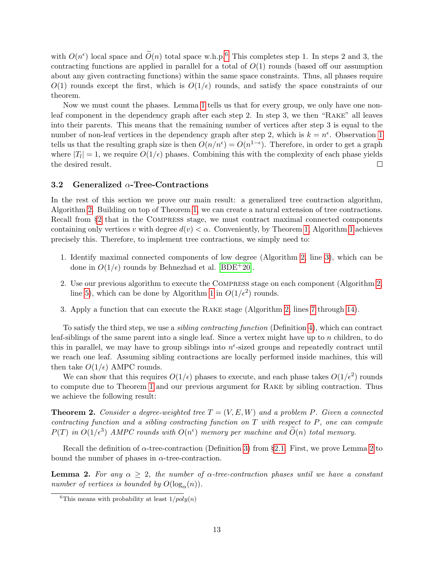with  $O(n^{\epsilon})$  local space and  $\widetilde{O}(n)$  total space w.h.p.<sup>[6](#page-12-1)</sup> This completes step 1. In steps 2 and 3, the contracting functions are applied in parallel for a total of  $O(1)$  rounds (based off our assumption about any given contracting functions) within the same space constraints. Thus, all phases require  $O(1)$  rounds except the first, which is  $O(1/\epsilon)$  rounds, and satisfy the space constraints of our theorem.

Now we must count the phases. Lemma [1](#page-10-1) tells us that for every group, we only have one nonleaf component in the dependency graph after each step 2. In step 3, we then "Rake" all leaves into their parents. This means that the remaining number of vertices after step 3 is equal to the number of non-leaf vertices in the dependency graph after step 2, which is  $k = n^{\epsilon}$ . Observation [1](#page-8-2) tells us that the resulting graph size is then  $O(n/n^{\epsilon}) = O(n^{1-\epsilon})$ . Therefore, in order to get a graph where  $|T_l| = 1$ , we require  $O(1/\epsilon)$  phases. Combining this with the complexity of each phase yields the desired result.  $\Box$ 

#### <span id="page-12-0"></span>3.2 Generalized  $\alpha$ -Tree-Contractions

In the rest of this section we prove our main result: a generalized tree contraction algorithm, Algorithm [2.](#page-13-0) Building on top of Theorem [1,](#page-4-0) we can create a natural extension of tree contractions. Recall from §[2](#page-6-1) that in the Compress stage, we must contract maximal connected components containing only vertices v with degree  $d(v) < \alpha$ . Conveniently, by Theorem [1,](#page-4-0) Algorithm [1](#page-10-0) achieves precisely this. Therefore, to implement tree contractions, we simply need to:

- 1. Identify maximal connected components of low degree (Algorithm [2,](#page-13-0) line [3\)](#page-13-1), which can be done in  $O(1/\epsilon)$  rounds by Behnezhad et al. [\[BDE](#page-31-9)+20].
- 2. Use our previous algorithm to execute the Compress stage on each component (Algorithm [2,](#page-13-0) line [5\)](#page-13-2), which can be done by Algorithm [1](#page-10-0) in  $O(1/\epsilon^2)$  rounds.
- 3. Apply a function that can execute the Rake stage (Algorithm [2,](#page-13-0) lines [7](#page-13-3) through [14\)](#page-13-4).

To satisfy the third step, we use a sibling contracting function (Definition [4\)](#page-7-2), which can contract leaf-siblings of the same parent into a single leaf. Since a vertex might have up to n children, to do this in parallel, we may have to group siblings into  $n^{\epsilon}$ -sized groups and repeatedly contract until we reach one leaf. Assuming sibling contractions are locally performed inside machines, this will then take  $O(1/\epsilon)$  AMPC rounds.

We can show that this requires  $O(1/\epsilon)$  phases to execute, and each phase takes  $O(1/\epsilon^2)$  rounds to compute due to Theorem [1](#page-4-0) and our previous argument for Rake by sibling contraction. Thus we achieve the following result:

**Theorem 2.** Consider a degree-weighted tree  $T = (V, E, W)$  and a problem P. Given a connected contracting function and a sibling contracting function on  $T$  with respect to  $P$ , one can compute  $P(T)$  in  $O(1/\epsilon^3)$  AMPC rounds with  $O(n^{\epsilon})$  memory per machine and  $\widetilde{O}(n)$  total memory.

Recall the definition of  $\alpha$ -tree-contraction (Definition [3\)](#page-7-3) from §[2.1.](#page-6-0) First, we prove Lemma [2](#page-12-2) to bound the number of phases in  $\alpha$ -tree-contraction.

<span id="page-12-2"></span>**Lemma 2.** For any  $\alpha \geq 2$ , the number of  $\alpha$ -tree-contraction phases until we have a constant number of vertices is bounded by  $O(\log_{\alpha}(n)).$ 

<span id="page-12-1"></span><sup>&</sup>lt;sup>6</sup>This means with probability at least  $1/poly(n)$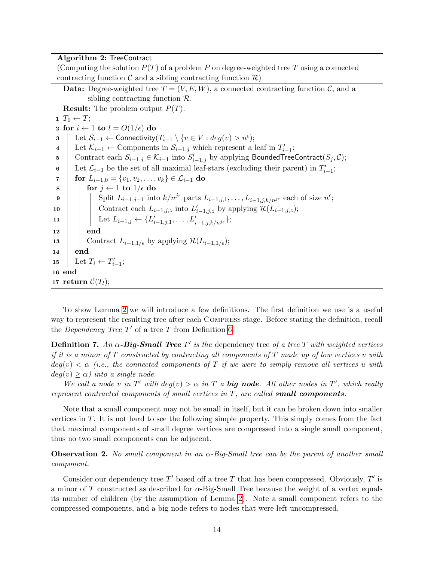Algorithm 2: TreeContract

(Computing the solution  $P(T)$  of a problem P on degree-weighted tree T using a connected contracting function  $\mathcal C$  and a sibling contracting function  $\mathcal R$ )

<span id="page-13-3"></span><span id="page-13-2"></span><span id="page-13-1"></span>**Data:** Degree-weighted tree  $T = (V, E, W)$ , a connected contracting function  $C$ , and a sibling contracting function R. **Result:** The problem output  $P(T)$ .  $1 T_0 \leftarrow T;$ 2 for  $i \leftarrow 1$  to  $l = O(1/\epsilon)$  do 3 | Let  $\mathcal{S}_{i-1}$  ← Connectivity $(T_{i-1} \setminus \{v \in V : deg(v) > n^{\epsilon});$ 4 Let  $\mathcal{K}_{i-1} \leftarrow$  Components in  $\mathcal{S}_{i-1,j}$  which represent a leaf in  $T'_{i-1}$ ; 5 Contract each  $S_{i-1,j}\in \mathcal{K}_{i-1}$  into  $S'_{i-1,j}$  by applying BoundedTreeContract $(S_j,\mathcal{C});$ 6 Let  $\mathcal{L}_{i-1}$  be the set of all maximal leaf-stars (excluding their parent) in  $T'_{i-1}$ ; 7 for  $L_{i-1,0} = \{v_1, v_2, \ldots, v_k\} \in \mathcal{L}_{i-1}$  do 8 for  $j \leftarrow 1$  to  $1/\epsilon$  do 9 Split  $L_{i-1,j-1}$  into  $k/n^{j\epsilon}$  parts  $L_{i-1,j,1},\ldots,L_{i-1,j,k/n^{j\epsilon}}$  each of size  $n^{\epsilon}$ ; 10 Contract each  $L_{i-1,j,z}$  into  $L'_{i-1,j,z}$  by applying  $\mathcal{R}(L_{i-1,j,z});$ 11  $\Box$  Let  $L_{i-1,j} \leftarrow \{L'_{i-1,j,1}, \ldots, L'_{i-1,j,k/n^{j\epsilon}}\};$  $12$  end 13 Contract  $L_{i-1,1/\epsilon}$  by applying  $\mathcal{R}(L_{i-1,1/\epsilon})$ ; 14 end 15 Let  $T_i \leftarrow T'_{i-1};$ 16 end 17 return  $\mathcal{C}(T_l)$ ;

<span id="page-13-4"></span><span id="page-13-0"></span>To show Lemma [2](#page-12-2) we will introduce a few definitions. The first definition we use is a useful way to represent the resulting tree after each Compress stage. Before stating the definition, recall the *Dependency Tree*  $T'$  of a tree  $T$  from Definition [6.](#page-8-3)

**Definition 7.** An  $\alpha$ -**Big-Small Tree** T' is the dependency tree of a tree T with weighted vertices if it is a minor of  $T$  constructed by contracting all components of  $T$  made up of low vertices v with  $deg(v) < \alpha$  (i.e., the connected components of T if we were to simply remove all vertices u with  $deg(v) > \alpha$ ) into a single node.

We call a node v in T' with  $deg(v) > \alpha$  in T a **big node**. All other nodes in T', which really represent contracted components of small vertices in  $T$ , are called **small components**.

Note that a small component may not be small in itself, but it can be broken down into smaller vertices in  $T$ . It is not hard to see the following simple property. This simply comes from the fact that maximal components of small degree vertices are compressed into a single small component, thus no two small components can be adjacent.

<span id="page-13-5"></span>**Observation 2.** No small component in an  $\alpha$ -Big-Small tree can be the parent of another small component.

Consider our dependency tree  $T'$  based off a tree T that has been compressed. Obviously,  $T'$  is a minor of T constructed as described for  $\alpha$ -Big-Small Tree because the weight of a vertex equals its number of children (by the assumption of Lemma [2\)](#page-12-2). Note a small component refers to the compressed components, and a big node refers to nodes that were left uncompressed.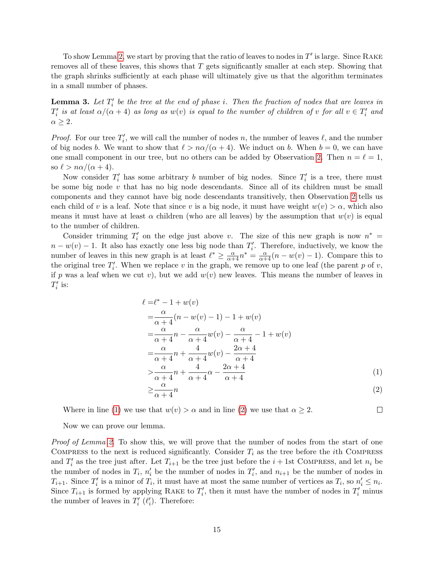To show Lemma [2,](#page-12-2) we start by proving that the ratio of leaves to nodes in  $T'$  is large. Since RAKE removes all of these leaves, this shows that T gets significantly smaller at each step. Showing that the graph shrinks sufficiently at each phase will ultimately give us that the algorithm terminates in a small number of phases.

<span id="page-14-2"></span>**Lemma 3.** Let  $T_i'$  be the tree at the end of phase i. Then the fraction of nodes that are leaves in  $T'_i$  is at least  $\alpha/(\alpha + 4)$  as long as  $w(v)$  is equal to the number of children of v for all  $v \in T'_i$  and  $\alpha \geq 2$ .

*Proof.* For our tree  $T_i'$ , we will call the number of nodes n, the number of leaves  $\ell$ , and the number of big nodes b. We want to show that  $\ell > n\alpha/(\alpha + 4)$ . We induct on b. When  $b = 0$ , we can have one small component in our tree, but no others can be added by Observation [2.](#page-13-5) Then  $n = \ell = 1$ , so  $\ell > n\alpha/(\alpha + 4)$ .

Now consider  $T_i'$  has some arbitrary b number of big nodes. Since  $T_i'$  is a tree, there must be some big node  $v$  that has no big node descendants. Since all of its children must be small components and they cannot have big node descendants transitively, then Observation [2](#page-13-5) tells us each child of v is a leaf. Note that since v is a big node, it must have weight  $w(v) > \alpha$ , which also means it must have at least  $\alpha$  children (who are all leaves) by the assumption that  $w(v)$  is equal to the number of children.

Consider trimming  $T_i'$  on the edge just above v. The size of this new graph is now  $n^* =$  $n - w(v) - 1$ . It also has exactly one less big node than  $T_i'$ . Therefore, inductively, we know the number of leaves in this new graph is at least  $\ell^* \ge \frac{\alpha}{\alpha+4}n^* = \frac{\alpha}{\alpha+4}(n - w(v) - 1)$ . Compare this to the original tree  $T_i'$ . When we replace v in the graph, we remove up to one leaf (the parent p of v, if p was a leaf when we cut v), but we add  $w(v)$  new leaves. This means the number of leaves in  $T_i'$  is:

$$
\ell = \ell^* - 1 + w(v)
$$
  
\n
$$
= \frac{\alpha}{\alpha + 4} (n - w(v) - 1) - 1 + w(v)
$$
  
\n
$$
= \frac{\alpha}{\alpha + 4} n - \frac{\alpha}{\alpha + 4} w(v) - \frac{\alpha}{\alpha + 4} - 1 + w(v)
$$
  
\n
$$
= \frac{\alpha}{\alpha + 4} n + \frac{4}{\alpha + 4} w(v) - \frac{2\alpha + 4}{\alpha + 4}
$$
  
\n
$$
> \frac{\alpha}{\alpha + 4} n + \frac{4}{\alpha + 4} \alpha - \frac{2\alpha + 4}{\alpha + 4}
$$
 (1)

<span id="page-14-1"></span><span id="page-14-0"></span>
$$
\geq \frac{\alpha}{\alpha + 4}n\tag{2}
$$

Where in line [\(1\)](#page-14-0) we use that  $w(v) > \alpha$  and in line [\(2\)](#page-14-1) we use that  $\alpha \geq 2$ .  $\Box$ 

Now we can prove our lemma.

Proof of Lemma [2.](#page-12-2) To show this, we will prove that the number of nodes from the start of one COMPRESS to the next is reduced significantly. Consider  $T_i$  as the tree before the *i*th COMPRESS and  $T_i'$  as the tree just after. Let  $T_{i+1}$  be the tree just before the  $i+1$ st COMPRESS, and let  $n_i$  be the number of nodes in  $T_i$ ,  $n'_i$  be the number of nodes in  $T'_i$ , and  $n_{i+1}$  be the number of nodes in  $T_{i+1}$ . Since  $T_i'$  is a minor of  $T_i$ , it must have at most the same number of vertices as  $T_i$ , so  $n'_i \leq n_i$ . Since  $T_{i+1}$  is formed by applying RAKE to  $T_i'$ , then it must have the number of nodes in  $T_i'$  minus the number of leaves in  $T_i'(\ell_i')$ . Therefore: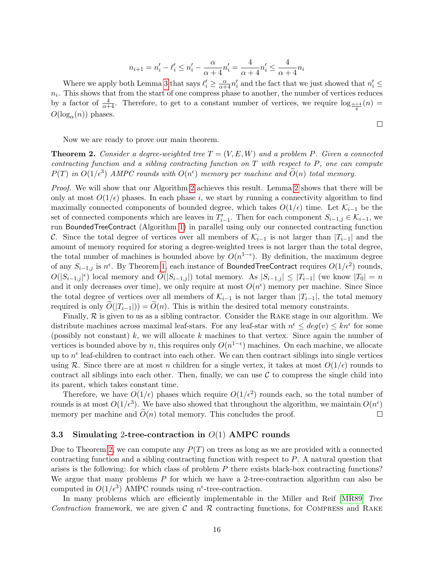$$
n_{i+1} = n'_{i} - \ell'_{i} \le n'_{i} - \frac{\alpha}{\alpha + 4}n'_{i} = \frac{4}{\alpha + 4}n'_{i} \le \frac{4}{\alpha + 4}n_{i}
$$

Where we apply both Lemma [3](#page-14-2) that says  $\ell'_i \geq \frac{\alpha}{\alpha+4}n'_i$  and the fact that we just showed that  $n'_i \leq$  $n_i$ . This shows that from the start of one compress phase to another, the number of vertices reduces by a factor of  $\frac{4}{\alpha+4}$ . Therefore, to get to a constant number of vertices, we require  $\log_{\frac{\alpha+4}{4}}(n)$  $O(\log_\alpha(n))$  phases.

 $\Box$ 

Now we are ready to prove our main theorem.

**Theorem 2.** Consider a degree-weighted tree  $T = (V, E, W)$  and a problem P. Given a connected contracting function and a sibling contracting function on T with respect to P, one can compute  $P(T)$  in  $O(1/\epsilon^3)$  AMPC rounds with  $O(n^{\epsilon})$  memory per machine and  $\widetilde{O}(n)$  total memory.

Proof. We will show that our Algorithm [2](#page-12-2) achieves this result. Lemma 2 shows that there will be only at most  $O(1/\epsilon)$  phases. In each phase i, we start by running a connectivity algorithm to find maximally connected components of bounded degree, which takes  $O(1/\epsilon)$  time. Let  $\mathcal{K}_{i-1}$  be the set of connected components which are leaves in  $T'_{i-1}$ . Then for each component  $S_{i-1,j} \in \mathcal{K}_{i-1}$ , we run BoundedTreeContract (Algorithm [1\)](#page-10-0) in parallel using only our connected contracting function C. Since the total degree of vertices over all members of  $\mathcal{K}_{i-1}$  is not larger than  $|T_{i-1}|$  and the amount of memory required for storing a degree-weighted trees is not larger than the total degree, the total number of machines is bounded above by  $O(n^{1-\epsilon})$ . By definition, the maximum degree of any  $S_{i-1,j}$  is  $n^{\epsilon}$ . By Theorem [1,](#page-4-0) each instance of BoundedTreeContract requires  $O(1/\epsilon^2)$  rounds,  $O(|S_{i-1,j}|^{\epsilon})$  local memory and  $\widetilde{O}(|S_{i-1,j}|)$  total memory. As  $|S_{i-1,j}| \leq |T_{i-1}|$  (we know  $|T_0| = n$ and it only decreases over time), we only require at most  $O(n^{\epsilon})$  memory per machine. Since Since the total degree of vertices over all members of  $\mathcal{K}_{i-1}$  is not larger than  $|T_{i-1}|$ , the total memory required is only  $\tilde{O}(|T_{i-1}|) = \tilde{O}(n)$ . This is within the desired total memory constraints.

Finally,  $R$  is given to us as a sibling contractor. Consider the RAKE stage in our algorithm. We distribute machines across maximal leaf-stars. For any leaf-star with  $n^{\epsilon} \leq deg(v) \leq kn^{\epsilon}$  for some (possibly not constant) k, we will allocate k machines to that vertex. Since again the number of vertices is bounded above by n, this requires only  $O(n^{1-\epsilon})$  machines. On each machine, we allocate up to  $n^{\epsilon}$  leaf-children to contract into each other. We can then contract siblings into single vertices using R. Since there are at most n children for a single vertex, it takes at most  $O(1/\epsilon)$  rounds to contract all siblings into each other. Then, finally, we can use  $\mathcal C$  to compress the single child into its parent, which takes constant time.

Therefore, we have  $O(1/\epsilon)$  phases which require  $O(1/\epsilon^2)$  rounds each, so the total number of rounds is at most  $O(1/\epsilon^3)$ . We have also showed that throughout the algorithm, we maintain  $O(n^{\epsilon})$ memory per machine and  $O(n)$  total memory. This concludes the proof.  $\Box$ 

#### <span id="page-15-0"></span>3.3 Simulating 2-tree-contraction in  $O(1)$  AMPC rounds

Due to Theorem [2,](#page-5-0) we can compute any  $P(T)$  on trees as long as we are provided with a connected contracting function and a sibling contracting function with respect to P. A natural question that arises is the following: for which class of problem  $P$  there exists black-box contracting functions? We argue that many problems  $P$  for which we have a 2-tree-contraction algorithm can also be computed in  $O(1/\epsilon^3)$  AMPC rounds using  $n^{\epsilon}$ -tree-contraction.

In many problems which are efficiently implementable in the Miller and Reif [\[MR89\]](#page-34-0) Tree Contraction framework, we are given  $\mathcal C$  and  $\mathcal R$  contracting functions, for COMPRESS and RAKE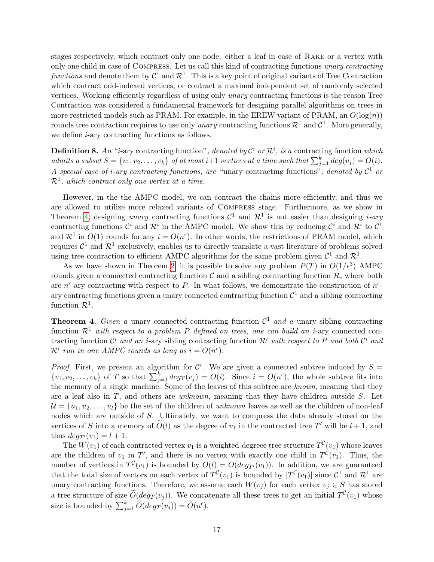stages respectively, which contract only one node: either a leaf in case of Rake or a vertex with only one child in case of Compress. Let us call this kind of contracting functions unary contracting functions and denote them by  $\mathcal{C}^1$  and  $\mathcal{R}^1$ . This is a key point of original variants of Tree Contraction which contract odd-indexed vertices, or contract a maximal independent set of randomly selected vertices. Working efficiently regardless of using only unary contracting functions is the reason Tree Contraction was considered a fundamental framework for designing parallel algorithms on trees in more restricted models such as PRAM. For example, in the EREW variant of PRAM, an  $O(log(n))$ rounds tree contraction requires to use only *unary* contracting functions  $\mathcal{R}^1$  and  $\mathcal{C}^1$ . More generally, we define i-ary contracting functions as follows.

**Definition 8.** An "*i*-ary contracting function", denoted by  $\mathcal{C}^i$  or  $\mathcal{R}^i$ , is a contracting function which admits a subset  $S = \{v_1, v_2, \ldots, v_k\}$  of at most  $i+1$  vertices at a time such that  $\sum_{j=1}^k deg(v_j) = O(i)$ . A special case of *i*-ary contracting functions, are "unary contracting functions", denoted by  $\mathcal{C}^1$  or  $\mathcal{R}^1$ , which contract only one vertex at a time.

However, in the the AMPC model, we can contract the chains more efficiently, and thus we are allowed to utilize more relaxed variants of Compress stage. Furthermore, as we show in Theorem [4,](#page-16-0) designing unary contracting functions  $\mathcal{C}^1$  and  $\mathcal{R}^1$  is not easier than designing *i-ary* contracting functions  $\mathcal{C}^i$  and  $\mathcal{R}^i$  in the AMPC model. We show this by reducing  $\mathcal{C}^i$  and  $\mathcal{R}^i$  to  $\mathcal{C}^1$ and  $\mathcal{R}^1$  in  $O(1)$  rounds for any  $i = O(n^{\epsilon})$ . In other words, the restrictions of PRAM model, which requires  $\mathcal{C}^1$  and  $\mathcal{R}^1$  exclusively, enables us to directly translate a vast literature of problems solved using tree contraction to efficient AMPC algorithms for the same problem given  $\mathcal{C}^1$  and  $\mathcal{R}^1$ .

As we have shown in Theorem [2,](#page-5-0) it is possible to solve any problem  $P(T)$  in  $O(1/\epsilon^3)$  AMPC rounds given a connected contracting function  $\mathcal C$  and a sibling contracting function  $\mathcal R$ , where both are  $n^{\epsilon}$ -ary contracting with respect to P. In what follows, we demonstrate the construction of  $n^{\epsilon}$ ary contracting functions given a unary connected contracting function  $\mathcal{C}^1$  and a sibling contracting function  $\mathcal{R}^1$ .

<span id="page-16-0"></span>**Theorem 4.** Given a unary connected contracting function  $\mathcal{C}^1$  and a unary sibling contracting function  $\mathcal{R}^1$  with respect to a problem P defined on trees, one can build an *i*-ary connected contracting function  $\mathcal{C}^i$  and an *i*-ary sibling contracting function  $\mathcal{R}^i$  with respect to P and both  $\mathcal{C}^i$  and  $\mathcal{R}^i$  run in one AMPC rounds as long as  $i = O(n^{\epsilon}).$ 

*Proof.* First, we present an algorithm for  $\mathcal{C}^i$ . We are given a connected subtree induced by  $S =$  $\{v_1, v_2, \ldots, v_k\}$  of T so that  $\sum_{j=1}^k deg_T(v_j) = O(i)$ . Since  $i = O(n^{\epsilon})$ , the whole subtree fits into the memory of a single machine. Some of the leaves of this subtree are known, meaning that they are a leaf also in  $T$ , and others are *unknown*, meaning that they have children outside  $S$ . Let  $\mathcal{U} = \{u_1, u_2, \dots, u_l\}$  be the set of the children of unknown leaves as well as the children of non-leaf nodes which are outside of S. Ultimately, we want to compress the data already stored on the vertices of S into a memory of  $\tilde{O}(l)$  as the degree of  $v_1$  in the contracted tree T' will be  $l + 1$ , and thus  $deg_{T'}(v_1) = l + 1$ .

The  $W(v_1)$  of each contracted vertex  $v_1$  is a weighted-degreee tree structure  $T^{\mathcal{C}}(v_1)$  whose leaves are the children of  $v_1$  in T', and there is no vertex with exactly one child in  $T^{\mathcal{C}}(v_1)$ . Thus, the number of vertices in  $T^{\mathcal{C}}(v_1)$  is bounded by  $O(l) = O(deg_{T}(v_1))$ . In addition, we are guaranteed that the total size of vectors on each vertex of  $T^{\mathcal{C}}(v_1)$  is bounded by  $|T^{\mathcal{C}}(v_1)|$  since  $\mathcal{C}^1$  and  $\mathcal{R}^1$  are unary contracting functions. Therefore, we assume each  $W(v_i)$  for each vertex  $v_i \in S$  has stored a tree structure of size  $\widetilde{O}(\deg_T(v_j))$ . We concatenate all these trees to get an initial  $T^{\mathcal{C}}(v_1)$  whose size is bounded by  $\sum_{j=1}^{k} \widetilde{O}(deg_T(v_j)) = \widetilde{O}(n^{\epsilon}).$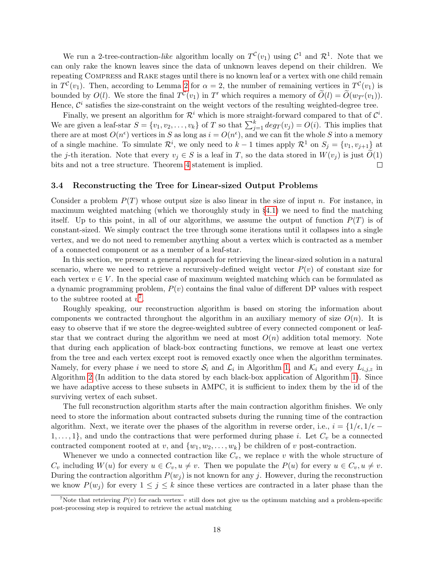We run a 2-tree-contraction-like algorithm locally on  $T^{\mathcal{C}}(v_1)$  using  $\mathcal{C}^1$  and  $\mathcal{R}^1$ . Note that we can only rake the known leaves since the data of unknown leaves depend on their children. We repeating Compress and Rake stages until there is no known leaf or a vertex with one child remain in  $T^{\mathcal{C}}(v_1)$ . Then, according to Lemma [2](#page-12-2) for  $\alpha = 2$ , the number of remaining vertices in  $T^{\mathcal{C}}(v_1)$  is bounded by  $O(l)$ . We store the final  $T^{\mathcal{C}}(v_1)$  in  $T'$  which requires a memory of  $\widetilde{O}(l) = \widetilde{O}(w_{T'}(v_1)).$ Hence,  $\mathcal{C}^i$  satisfies the size-constraint on the weight vectors of the resulting weighted-degree tree.

Finally, we present an algorithm for  $\mathcal{R}^i$  which is more straight-forward compared to that of  $\mathcal{C}^i$ . We are given a leaf-star  $S = \{v_1, v_2, \ldots, v_k\}$  of T so that  $\sum_{j=1}^k deg_T(v_j) = O(i)$ . This implies that there are at most  $O(n^{\epsilon})$  vertices in S as long as  $i = O(n^{\epsilon})$ , and we can fit the whole S into a memory of a single machine. To simulate  $\mathcal{R}^i$ , we only need to  $k-1$  times apply  $\mathcal{R}^1$  on  $S_j = \{v_1, v_{j+1}\}$  at the j-th iteration. Note that every  $v_j \in S$  is a leaf in T, so the data stored in  $W(v_j)$  is just  $\tilde{O}(1)$  bits and not a tree structure. Theorem 4 statement is implied. bits and not a tree structure. Theorem [4](#page-16-0) statement is implied.

#### <span id="page-17-0"></span>3.4 Reconstructing the Tree for Linear-sized Output Problems

Consider a problem  $P(T)$  whose output size is also linear in the size of input n. For instance, in maximum weighted matching (which we thoroughly study in §[4.1\)](#page-18-0) we need to find the matching itself. Up to this point, in all of our algorithms, we assume the output of function  $P(T)$  is of constant-sized. We simply contract the tree through some iterations until it collapses into a single vertex, and we do not need to remember anything about a vertex which is contracted as a member of a connected component or as a member of a leaf-star.

In this section, we present a general approach for retrieving the linear-sized solution in a natural scenario, where we need to retrieve a recursively-defined weight vector  $P(v)$  of constant size for each vertex  $v \in V$ . In the special case of maximum weighted matching which can be formulated as a dynamic programming problem,  $P(v)$  contains the final value of different DP values with respect to the subtree rooted at  $v^7$  $v^7$ .

Roughly speaking, our reconstruction algorithm is based on storing the information about components we contracted throughout the algorithm in an auxiliary memory of size  $O(n)$ . It is easy to observe that if we store the degree-weighted subtree of every connected component or leafstar that we contract during the algorithm we need at most  $O(n)$  addition total memory. Note that during each application of black-box contracting functions, we remove at least one vertex from the tree and each vertex except root is removed exactly once when the algorithm terminates. Namely, for every phase i we need to store  $S_i$  and  $\mathcal{L}_i$  in Algorithm [1,](#page-10-0) and  $\mathcal{K}_i$  and every  $L_{i,j,z}$  in Algorithm [2](#page-13-0) (In addition to the data stored by each black-box application of Algorithm [1\)](#page-10-0). Since we have adaptive access to these subsets in AMPC, it is sufficient to index them by the id of the surviving vertex of each subset.

The full reconstruction algorithm starts after the main contraction algorithm finishes. We only need to store the information about contracted subsets during the running time of the contraction algorithm. Next, we iterate over the phases of the algorithm in reverse order, i.e.,  $i = \{1/\epsilon, 1/\epsilon - \epsilon\}$  $1, \ldots, 1$ , and undo the contractions that were performed during phase i. Let  $C_v$  be a connected contracted component rooted at v, and  $\{w_1, w_2, \ldots, w_k\}$  be children of v post-contraction.

Whenever we undo a connected contraction like  $C_v$ , we replace v with the whole structure of  $C_v$  including  $W(u)$  for every  $u \in C_v, u \neq v$ . Then we populate the  $P(u)$  for every  $u \in C_v, u \neq v$ . During the contraction algorithm  $P(w_i)$  is not known for any j. However, during the reconstruction we know  $P(w_i)$  for every  $1 \leq j \leq k$  since these vertices are contracted in a later phase than the

<span id="page-17-1"></span><sup>&</sup>lt;sup>7</sup>Note that retrieving  $P(v)$  for each vertex v still does not give us the optimum matching and a problem-specific post-processing step is required to retrieve the actual matching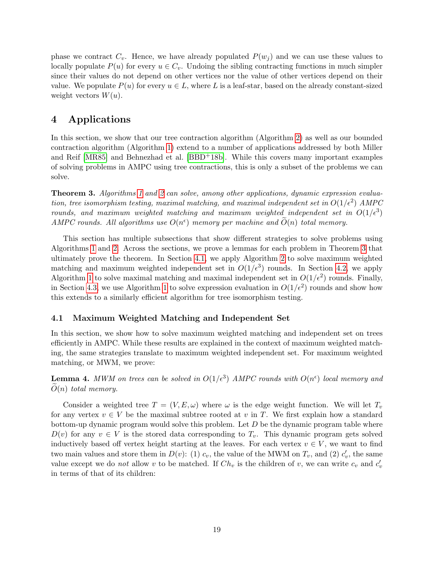phase we contract  $C_v$ . Hence, we have already populated  $P(w_j)$  and we can use these values to locally populate  $P(u)$  for every  $u \in C_v$ . Undoing the sibling contracting functions in much simpler since their values do not depend on other vertices nor the value of other vertices depend on their value. We populate  $P(u)$  for every  $u \in L$ , where L is a leaf-star, based on the already constant-sized weight vectors  $W(u)$ .

### <span id="page-18-1"></span>4 Applications

In this section, we show that our tree contraction algorithm (Algorithm [2\)](#page-13-0) as well as our bounded contraction algorithm (Algorithm [1\)](#page-10-0) extend to a number of applications addressed by both Miller and Reif  $[MR85]$  and Behnezhad et al.  $[BBD<sup>+</sup>18b]$  $[BBD<sup>+</sup>18b]$ . While this covers many important examples of solving problems in AMPC using tree contractions, this is only a subset of the problems we can solve.

**Theorem 3.** Algorithms [1](#page-10-0) and [2](#page-13-0) can solve, among other applications, dynamic expression evaluation, tree isomorphism testing, maximal matching, and maximal independent set in  $O(1/\epsilon^2)$  AMPC rounds, and maximum weighted matching and maximum weighted independent set in  $O(1/\epsilon^3)$ AMPC rounds. All algorithms use  $O(n^{\epsilon})$  memory per machine and  $\widetilde{O}(n)$  total memory.

This section has multiple subsections that show different strategies to solve problems using Algorithms [1](#page-10-0) and [2.](#page-13-0) Across the sections, we prove a lemmas for each problem in Theorem [3](#page-5-1) that ultimately prove the theorem. In Section [4.1,](#page-18-0) we apply Algorithm [2](#page-13-0) to solve maximum weighted matching and maximum weighted independent set in  $O(1/\epsilon^3)$  rounds. In Section [4.2,](#page-24-0) we apply Algorithm [1](#page-10-0) to solve maximal matching and maximal independent set in  $O(1/\epsilon^2)$  rounds. Finally, in Section [4.3,](#page-28-0) we use Algorithm [1](#page-10-0) to solve expression evaluation in  $O(1/\epsilon^2)$  rounds and show how this extends to a similarly efficient algorithm for tree isomorphism testing.

#### <span id="page-18-0"></span>4.1 Maximum Weighted Matching and Independent Set

In this section, we show how to solve maximum weighted matching and independent set on trees efficiently in AMPC. While these results are explained in the context of maximum weighted matching, the same strategies translate to maximum weighted independent set. For maximum weighted matching, or MWM, we prove:

<span id="page-18-2"></span>**Lemma 4.** MWM on trees can be solved in  $O(1/\epsilon^3)$  AMPC rounds with  $O(n^{\epsilon})$  local memory and  $O(n)$  total memory.

Consider a weighted tree  $T = (V, E, \omega)$  where  $\omega$  is the edge weight function. We will let  $T_v$ for any vertex  $v \in V$  be the maximal subtree rooted at v in T. We first explain how a standard bottom-up dynamic program would solve this problem. Let  $D$  be the dynamic program table where  $D(v)$  for any  $v \in V$  is the stored data corresponding to  $T_v$ . This dynamic program gets solved inductively based off vertex height starting at the leaves. For each vertex  $v \in V$ , we want to find two main values and store them in  $D(v)$ : (1)  $c_v$ , the value of the MWM on  $T_v$ , and (2)  $c'_v$ , the same value except we do *not* allow v to be matched. If  $Ch_v$  is the children of v, we can write  $c_v$  and  $c'_v$ in terms of that of its children: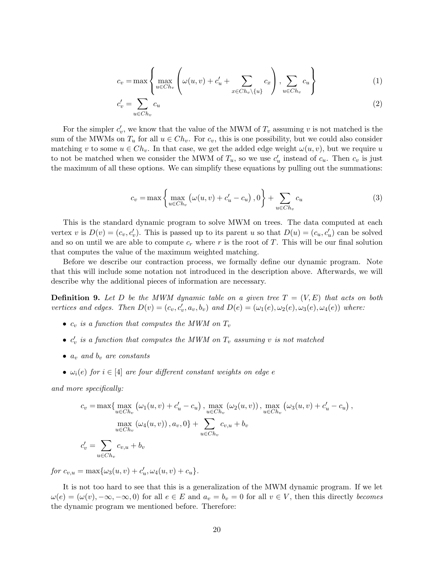$$
c_v = \max \left\{ \max_{u \in Ch_v} \left( \omega(u, v) + c'_u + \sum_{x \in Ch_v \setminus \{u\}} c_x \right), \sum_{u \in Ch_v} c_u \right\} \tag{1}
$$

$$
c'_v = \sum_{u \in Ch_v} c_u \tag{2}
$$

For the simpler  $c'_v$ , we know that the value of the MWM of  $T_v$  assuming v is not matched is the sum of the MWMs on  $T_u$  for all  $u \in Ch_v$ . For  $c_v$ , this is one possibility, but we could also consider matching v to some  $u \in Ch_v$ . In that case, we get the added edge weight  $\omega(u, v)$ , but we require u to not be matched when we consider the MWM of  $T_u$ , so we use  $c'_u$  instead of  $c_u$ . Then  $c_v$  is just the maximum of all these options. We can simplify these equations by pulling out the summations:

$$
c_v = \max\left\{\max_{u \in Ch_v} \left(\omega(u, v) + c'_u - c_u\right), 0\right\} + \sum_{u \in Ch_v} c_u \tag{3}
$$

This is the standard dynamic program to solve MWM on trees. The data computed at each vertex v is  $D(v) = (c_v, c'_v)$ . This is passed up to its parent u so that  $D(u) = (c_u, c'_u)$  can be solved and so on until we are able to compute  $c_r$  where r is the root of T. This will be our final solution that computes the value of the maximum weighted matching.

Before we describe our contraction process, we formally define our dynamic program. Note that this will include some notation not introduced in the description above. Afterwards, we will describe why the additional pieces of information are necessary.

<span id="page-19-0"></span>**Definition 9.** Let D be the MWM dynamic table on a given tree  $T = (V, E)$  that acts on both vertices and edges. Then  $D(v) = (c_v, c'_v, a_v, b_v)$  and  $D(e) = (\omega_1(e), \omega_2(e), \omega_3(e), \omega_4(e))$  where:

- $c_v$  is a function that computes the MWM on  $T_v$
- $c'_v$  is a function that computes the MWM on  $T_v$  assuming v is not matched
- $a_v$  and  $b_v$  are constants
- $\omega_i(e)$  for  $i \in [4]$  are four different constant weights on edge e

and more specifically:

$$
c_v = \max \{ \max_{u \in Ch_v} (\omega_1(u, v) + c'_u - c_u), \max_{u \in Ch_v} (\omega_2(u, v)), \max_{u \in Ch_v} (\omega_3(u, v) + c'_u - c_u), \max_{u \in Ch_v} (\omega_4(u, v)), a_v, 0 \} + \sum_{u \in Ch_v} c_{v, u} + b_v c'_v = \sum_{u \in Ch_v} c_{v, u} + b_v
$$

for  $c_{v,u} = \max\{\omega_3(u,v) + c'_u, \omega_4(u,v) + c_u\}.$ 

It is not too hard to see that this is a generalization of the MWM dynamic program. If we let  $\omega(e) = (\omega(v), -\infty, -\infty, 0)$  for all  $e \in E$  and  $a_v = b_v = 0$  for all  $v \in V$ , then this directly becomes the dynamic program we mentioned before. Therefore: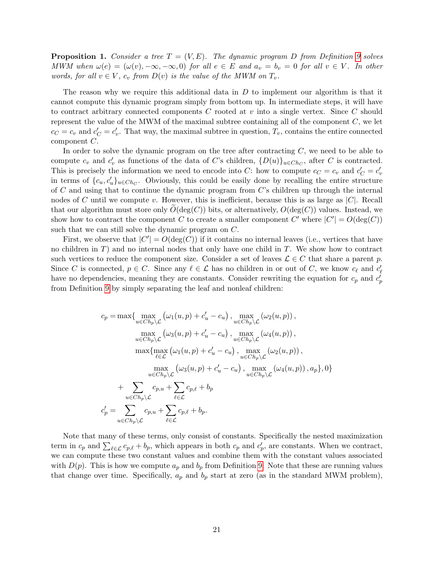<span id="page-20-0"></span>**Proposition 1.** Consider a tree  $T = (V, E)$ . The dynamic program D from Definition [9](#page-19-0) solves MWM when  $\omega(e) = (\omega(v), -\infty, -\infty, 0)$  for all  $e \in E$  and  $a_v = b_v = 0$  for all  $v \in V$ . In other words, for all  $v \in V$ ,  $c_v$  from  $D(v)$  is the value of the MWM on  $T_v$ .

The reason why we require this additional data in  $D$  to implement our algorithm is that it cannot compute this dynamic program simply from bottom up. In intermediate steps, it will have to contract arbitrary connected components  $C$  rooted at  $v$  into a single vertex. Since  $C$  should represent the value of the MWM of the maximal subtree containing all of the component  $C$ , we let  $c_C = c_v$  and  $c'_C = c'_v$ . That way, the maximal subtree in question,  $T_v$ , contains the entire connected component C.

In order to solve the dynamic program on the tree after contracting  $C$ , we need to be able to compute  $c_v$  and  $c'_v$  as functions of the data of C's children,  $\{D(u)\}_{u\in Ch_C}$ , after C is contracted. This is precisely the information we need to encode into C: how to compute  $c_C = c_v$  and  $c'_C = c'_v$ in terms of  $\{c_u, c'_u\}_{u \in Ch_C}$ . Obviously, this could be easily done by recalling the entire structure of C and using that to continue the dynamic program from  $C$ 's children up through the internal nodes of C until we compute v. However, this is inefficient, because this is as large as  $|C|$ . Recall that our algorithm must store only  $O(\deg(C))$  bits, or alternatively,  $O(\deg(C))$  values. Instead, we show how to contract the component C to create a smaller component C' where  $|C'| = O(\deg(C))$ such that we can still solve the dynamic program on C.

First, we observe that  $|C'| = O(\deg(C))$  if it contains no internal leaves (i.e., vertices that have no children in  $T$ ) and no internal nodes that only have one child in  $T$ . We show how to contract such vertices to reduce the component size. Consider a set of leaves  $\mathcal{L} \in C$  that share a parent p. Since C is connected,  $p \in C$ . Since any  $\ell \in \mathcal{L}$  has no children in or out of C, we know  $c_{\ell}$  and  $c'_{\ell}$ have no dependencies, meaning they are constants. Consider rewriting the equation for  $c_p$  and  $c_p'$ from Definition [9](#page-19-0) by simply separating the leaf and nonleaf children:

$$
c_p = \max\{\max_{u \in Ch_p \setminus \mathcal{L}} (\omega_1(u, p) + c'_u - c_u), \max_{u \in Ch_p \setminus \mathcal{L}} (\omega_2(u, p)),\newline \max_{u \in Ch_p \setminus \mathcal{L}} (\omega_3(u, p) + c'_u - c_u), \max_{u \in Ch_p \setminus \mathcal{L}} (\omega_4(u, p)),\newline \max\{\max_{\ell \in \mathcal{L}} (\omega_1(u, p) + c'_u - c_u), \max_{u \in Ch_p \setminus \mathcal{L}} (\omega_2(u, p)),\newline \max_{u \in Ch_p \setminus \mathcal{L}} (\omega_3(u, p) + c'_u - c_u), \max_{u \in Ch_p \setminus \mathcal{L}} (\omega_4(u, p)), a_p\}, 0\}
$$
\n
$$
+ \sum_{u \in Ch_p \setminus \mathcal{L}} c_{p,u} + \sum_{\ell \in \mathcal{L}} c_{p,\ell} + b_p
$$
\n
$$
c'_p = \sum_{u \in Ch_p \setminus \mathcal{L}} c_{p,u} + \sum_{\ell \in \mathcal{L}} c_{p,\ell} + b_p.
$$

Note that many of these terms, only consist of constants. Specifically the nested maximization term in  $c_p$  and  $\sum_{\ell \in \mathcal{L}} c_{p,\ell} + b_p$ , which appears in both  $c_p$  and  $c'_p$ , are constants. When we contract, we can compute these two constant values and combine them with the constant values associated with  $D(p)$ . This is how we compute  $a_p$  and  $b_p$  from Definition [9.](#page-19-0) Note that these are running values that change over time. Specifically,  $a_p$  and  $b_p$  start at zero (as in the standard MWM problem),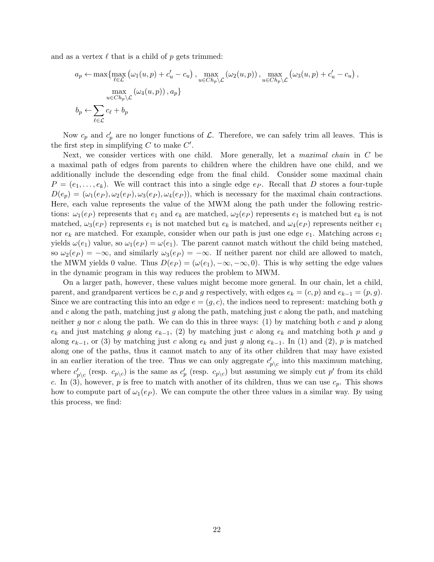and as a vertex  $\ell$  that is a child of p gets trimmed:

$$
a_p \leftarrow \max\{\max_{\ell \in \mathcal{L}} \left( \omega_1(u, p) + c'_u - c_u \right), \max_{u \in Ch_p \setminus \mathcal{L}} \left( \omega_2(u, p) \right), \max_{u \in Ch_p \setminus \mathcal{L}} \left( \omega_3(u, p) + c'_u - c_u \right),\newline \max_{u \in Ch_p \setminus \mathcal{L}} \left( \omega_4(u, p) \right), a_p \}
$$
  

$$
b_p \leftarrow \sum_{\ell \in \mathcal{L}} c_{\ell} + b_p
$$

Now  $c_p$  and  $c'_p$  are no longer functions of  $\mathcal{L}$ . Therefore, we can safely trim all leaves. This is the first step in simplifying  $C$  to make  $C'$ .

Next, we consider vertices with one child. More generally, let a maximal chain in C be a maximal path of edges from parents to children where the children have one child, and we additionally include the descending edge from the final child. Consider some maximal chain  $P = (e_1, \ldots, e_k)$ . We will contract this into a single edge  $e_P$ . Recall that D stores a four-tuple  $D(e_p) = (\omega_1(e_p), \omega_2(e_p), \omega_3(e_p), \omega_4(e_p))$ , which is necessary for the maximal chain contractions. Here, each value represents the value of the MWM along the path under the following restrictions:  $\omega_1(e_P)$  represents that  $e_1$  and  $e_k$  are matched,  $\omega_2(e_P)$  represents  $e_1$  is matched but  $e_k$  is not matched,  $\omega_3(e_P)$  represents  $e_1$  is not matched but  $e_k$  is matched, and  $\omega_4(e_P)$  represents neither  $e_1$ nor  $e_k$  are matched. For example, consider when our path is just one edge  $e_1$ . Matching across  $e_1$ yields  $\omega(e_1)$  value, so  $\omega_1(e_P) = \omega(e_1)$ . The parent cannot match without the child being matched, so  $\omega_2(e_P) = -\infty$ , and similarly  $\omega_3(e_P) = -\infty$ . If neither parent nor child are allowed to match, the MWM yields 0 value. Thus  $D(e_P) = (\omega(e_1), -\infty, -\infty, 0)$ . This is why setting the edge values in the dynamic program in this way reduces the problem to MWM.

On a larger path, however, these values might become more general. In our chain, let a child, parent, and grandparent vertices be c, p and g respectively, with edges  $e_k = (c, p)$  and  $e_{k-1} = (p, g)$ . Since we are contracting this into an edge  $e = (g, c)$ , the indices need to represent: matching both g and c along the path, matching just g along the path, matching just c along the path, and matching neither g nor c along the path. We can do this in three ways: (1) by matching both c and p along  $e_k$  and just matching g along  $e_{k-1}$ , (2) by matching just c along  $e_k$  and matching both p and g along  $e_{k-1}$ , or (3) by matching just c along  $e_k$  and just g along  $e_{k-1}$ . In (1) and (2), p is matched along one of the paths, thus it cannot match to any of its other children that may have existed in an earlier iteration of the tree. Thus we can only aggregate  $c'_{p\setminus c}$  into this maximum matching, where  $c'_{p\setminus c}$  (resp.  $c_{p\setminus c}$ ) is the same as  $c'_{p}$  (resp.  $c_{p\setminus c}$ ) but assuming we simply cut p' from its child c. In (3), however, p is free to match with another of its children, thus we can use  $c_p$ . This shows how to compute part of  $\omega_1(e_P)$ . We can compute the other three values in a similar way. By using this process, we find: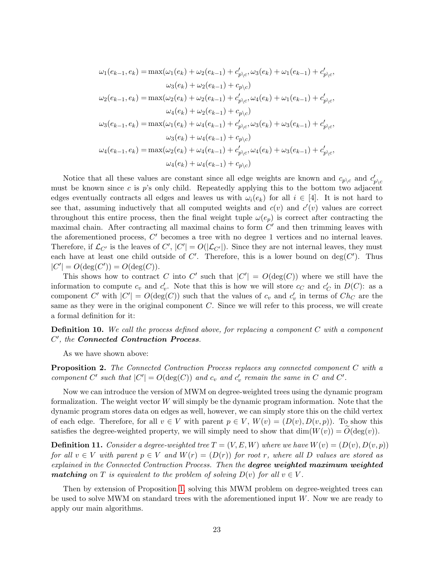$$
\omega_1(e_{k-1}, e_k) = \max(\omega_1(e_k) + \omega_2(e_{k-1}) + c'_{p \setminus c}, \omega_3(e_k) + \omega_1(e_{k-1}) + c'_{p \setminus c},
$$
  

$$
\omega_3(e_k) + \omega_2(e_{k-1}) + c_{p \setminus c})
$$
  

$$
\omega_2(e_{k-1}, e_k) = \max(\omega_2(e_k) + \omega_2(e_{k-1}) + c'_{p \setminus c}, \omega_4(e_k) + \omega_1(e_{k-1}) + c'_{p \setminus c},
$$
  

$$
\omega_4(e_k) + \omega_2(e_{k-1}) + c_{p \setminus c})
$$
  

$$
\omega_3(e_{k-1}, e_k) = \max(\omega_1(e_k) + \omega_4(e_{k-1}) + c'_{p \setminus c}, \omega_3(e_k) + \omega_3(e_{k-1}) + c'_{p \setminus c},
$$
  

$$
\omega_3(e_k) + \omega_4(e_{k-1}) + c_{p \setminus c})
$$
  

$$
\omega_4(e_{k-1}, e_k) = \max(\omega_2(e_k) + \omega_4(e_{k-1}) + c'_{p \setminus c}, \omega_4(e_k) + \omega_3(e_{k-1}) + c'_{p \setminus c},
$$
  

$$
\omega_4(e_k) + \omega_4(e_{k-1}) + c_{p \setminus c})
$$

Notice that all these values are constant since all edge weights are known and  $c_{p\setminus c}$  and  $c'_{p\setminus c}$ must be known since c is  $p$ 's only child. Repeatedly applying this to the bottom two adjacent edges eventually contracts all edges and leaves us with  $\omega_i(e_k)$  for all  $i \in [4]$ . It is not hard to see that, assuming inductively that all computed weights and  $c(v)$  and  $c'(v)$  values are correct throughout this entire process, then the final weight tuple  $\omega(e_p)$  is correct after contracting the maximal chain. After contracting all maximal chains to form  $C'$  and then trimming leaves with the aforementioned process,  $C'$  becomes a tree with no degree 1 vertices and no internal leaves. Therefore, if  $\mathcal{L}_{C'}$  is the leaves of  $C'$ ,  $|C'| = O(|\mathcal{L}_{C'}|)$ . Since they are not internal leaves, they must each have at least one child outside of  $C'$ . Therefore, this is a lower bound on  $deg(C')$ . Thus  $|C'| = O(\deg(C')) = O(\deg(C)).$ 

This shows how to contract C into C' such that  $|C'| = O(\deg(C))$  where we still have the information to compute  $c_v$  and  $c'_v$ . Note that this is how we will store  $c_v$  and  $c'_C$  in  $D(C)$ : as a component C' with  $|C'| = O(\deg(C))$  such that the values of  $c_v$  and  $c'_v$  in terms of  $Ch_C$  are the same as they were in the original component  $C$ . Since we will refer to this process, we will create a formal definition for it:

<span id="page-22-1"></span>**Definition 10.** We call the process defined above, for replacing a component  $C$  with a component C', the Connected Contraction Process.

As we have shown above:

<span id="page-22-0"></span>**Proposition 2.** The Connected Contraction Process replaces any connected component C with a component C' such that  $|C'| = O(\deg(C))$  and  $c_v$  and  $c'_v$  remain the same in C and C'.

Now we can introduce the version of MWM on degree-weighted trees using the dynamic program formalization. The weight vector  $W$  will simply be the dynamic program information. Note that the dynamic program stores data on edges as well, however, we can simply store this on the child vertex of each edge. Therefore, for all  $v \in V$  with parent  $p \in V$ ,  $W(v) = (D(v), D(v, p))$ . To show this satisfies the degree-weighted property, we will simply need to show that  $\dim(W(v)) = O(\deg(v))$ .

**Definition 11.** Consider a degree-weighted tree  $T = (V, E, W)$  where we have  $W(v) = (D(v), D(v, p))$ for all  $v \in V$  with parent  $p \in V$  and  $W(r) = (D(r))$  for root r, where all D values are stored as explained in the Connected Contraction Process. Then the degree weighted maximum weighted **matching** on T is equivalent to the problem of solving  $D(v)$  for all  $v \in V$ .

Then by extension of Proposition [1,](#page-20-0) solving this MWM problem on degree-weighted trees can be used to solve MWM on standard trees with the aforementioned input W. Now we are ready to apply our main algorithms.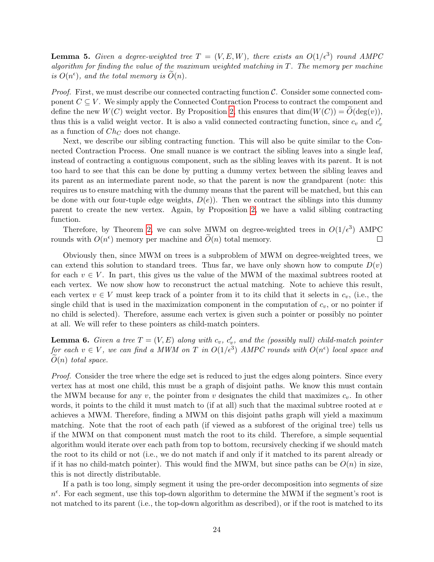<span id="page-23-0"></span>**Lemma 5.** Given a degree-weighted tree  $T = (V, E, W)$ , there exists an  $O(1/\epsilon^3)$  round AMPC algorithm for finding the value of the maximum weighted matching in  $T$ . The memory per machine is  $O(n^{\epsilon})$ , and the total memory is  $\widetilde{O}(n)$ .

*Proof.* First, we must describe our connected contracting function  $\mathcal{C}$ . Consider some connected component  $C \subseteq V$ . We simply apply the Connected Contraction Process to contract the component and define the new  $W(C)$  weight vector. By Proposition [2,](#page-22-0) this ensures that  $\dim(W(C)) = O(\deg(v)),$ thus this is a valid weight vector. It is also a valid connected contracting function, since  $c_v$  and  $c'_v$ as a function of  $Ch_C$  does not change.

Next, we describe our sibling contracting function. This will also be quite similar to the Connected Contraction Process. One small nuance is we contract the sibling leaves into a single leaf, instead of contracting a contiguous component, such as the sibling leaves with its parent. It is not too hard to see that this can be done by putting a dummy vertex between the sibling leaves and its parent as an intermediate parent node, so that the parent is now the grandparent (note: this requires us to ensure matching with the dummy means that the parent will be matched, but this can be done with our four-tuple edge weights,  $D(e)$ ). Then we contract the siblings into this dummy parent to create the new vertex. Again, by Proposition [2,](#page-22-0) we have a valid sibling contracting function.

Therefore, by Theorem [2,](#page-5-0) we can solve MWM on degree-weighted trees in  $O(1/\epsilon^3)$  AMPC rounds with  $O(n^{\epsilon})$  memory per machine and  $\widetilde{O}(n)$  total memory.  $\Box$ 

Obviously then, since MWM on trees is a subproblem of MWM on degree-weighted trees, we can extend this solution to standard trees. Thus far, we have only shown how to compute  $D(v)$ for each  $v \in V$ . In part, this gives us the value of the MWM of the maximal subtrees rooted at each vertex. We now show how to reconstruct the actual matching. Note to achieve this result, each vertex  $v \in V$  must keep track of a pointer from it to its child that it selects in  $c_v$ , (i.e., the single child that is used in the maximization component in the computation of  $c_v$ , or no pointer if no child is selected). Therefore, assume each vertex is given such a pointer or possibly no pointer at all. We will refer to these pointers as child-match pointers.

<span id="page-23-1"></span>**Lemma 6.** Given a tree  $T = (V, E)$  along with  $c_v$ ,  $c'_v$ , and the (possibly null) child-match pointer for each  $v \in V$ , we can find a MWM on T in  $O(1/\epsilon^3)$  AMPC rounds with  $O(n^{\epsilon})$  local space and  $O(n)$  total space.

Proof. Consider the tree where the edge set is reduced to just the edges along pointers. Since every vertex has at most one child, this must be a graph of disjoint paths. We know this must contain the MWM because for any v, the pointer from v designates the child that maximizes  $c_v$ . In other words, it points to the child it must match to (if at all) such that the maximal subtree rooted at  $v$ achieves a MWM. Therefore, finding a MWM on this disjoint paths graph will yield a maximum matching. Note that the root of each path (if viewed as a subforest of the original tree) tells us if the MWM on that component must match the root to its child. Therefore, a simple sequential algorithm would iterate over each path from top to bottom, recursively checking if we should match the root to its child or not (i.e., we do not match if and only if it matched to its parent already or if it has no child-match pointer). This would find the MWM, but since paths can be  $O(n)$  in size, this is not directly distributable.

If a path is too long, simply segment it using the pre-order decomposition into segments of size  $n^{\epsilon}$ . For each segment, use this top-down algorithm to determine the MWM if the segment's root is not matched to its parent (i.e., the top-down algorithm as described), or if the root is matched to its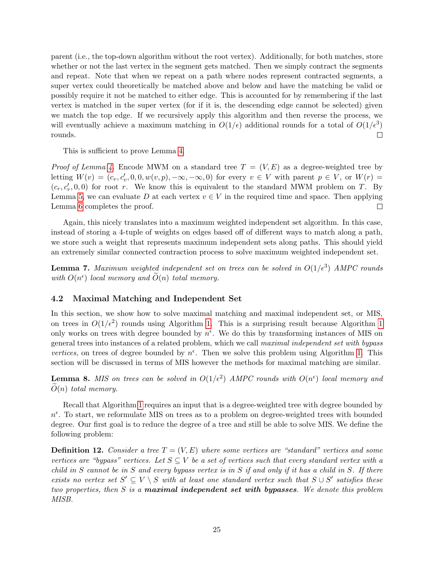parent (i.e., the top-down algorithm without the root vertex). Additionally, for both matches, store whether or not the last vertex in the segment gets matched. Then we simply contract the segments and repeat. Note that when we repeat on a path where nodes represent contracted segments, a super vertex could theoretically be matched above and below and have the matching be valid or possibly require it not be matched to either edge. This is accounted for by remembering if the last vertex is matched in the super vertex (for if it is, the descending edge cannot be selected) given we match the top edge. If we recursively apply this algorithm and then reverse the process, we will eventually achieve a maximum matching in  $O(1/\epsilon)$  additional rounds for a total of  $O(1/\epsilon^3)$ rounds.  $\Box$ 

This is sufficient to prove Lemma [4.](#page-18-2)

*Proof of Lemma [4.](#page-18-2)* Encode MWM on a standard tree  $T = (V, E)$  as a degree-weighted tree by letting  $W(v) = (c_v, c'_v, 0, 0, w(v, p), -\infty, -\infty, 0)$  for every  $v \in V$  with parent  $p \in V$ , or  $W(r) =$  $(c_r, c'_r, 0, 0)$  for root r. We know this is equivalent to the standard MWM problem on T. By Lemma [5,](#page-23-0) we can evaluate D at each vertex  $v \in V$  in the required time and space. Then applying Lemma [6](#page-23-1) completes the proof.  $\Box$ 

Again, this nicely translates into a maximum weighted independent set algorithm. In this case, instead of storing a 4-tuple of weights on edges based off of different ways to match along a path, we store such a weight that represents maximum independent sets along paths. This should yield an extremely similar connected contraction process to solve maximum weighted independent set.

**Lemma 7.** Maximum weighted independent set on trees can be solved in  $O(1/\epsilon^3)$  AMPC rounds with  $O(n^{\epsilon})$  local memory and  $\widetilde{O}(n)$  total memory.

#### <span id="page-24-0"></span>4.2 Maximal Matching and Independent Set

In this section, we show how to solve maximal matching and maximal independent set, or MIS, on trees in  $O(1/\epsilon^2)$  rounds using Algorithm [1.](#page-10-0) This is a surprising result because Algorithm [1](#page-10-0) only works on trees with degree bounded by  $n^{\epsilon}$ . We do this by transforming instances of MIS on general trees into instances of a related problem, which we call maximal independent set with bypass vertices, on trees of degree bounded by  $n^{\epsilon}$ . Then we solve this problem using Algorithm [1.](#page-10-0) This section will be discussed in terms of MIS however the methods for maximal matching are similar.

<span id="page-24-1"></span>**Lemma 8.** MIS on trees can be solved in  $O(1/\epsilon^2)$  AMPC rounds with  $O(n^{\epsilon})$  local memory and  $O(n)$  total memory.

Recall that Algorithm [1](#page-10-0) requires an input that is a degree-weighted tree with degree bounded by  $n^{\epsilon}$ . To start, we reformulate MIS on trees as to a problem on degree-weighted trees with bounded degree. Our first goal is to reduce the degree of a tree and still be able to solve MIS. We define the following problem:

**Definition 12.** Consider a tree  $T = (V, E)$  where some vertices are "standard" vertices and some vertices are "bypass" vertices. Let  $S \subseteq V$  be a set of vertices such that every standard vertex with a child in S cannot be in S and every bypass vertex is in S if and only if it has a child in S. If there exists no vertex set  $S' \subseteq V \setminus S$  with at least one standard vertex such that  $S \cup S'$  satisfies these two properties, then  $S$  is a **maximal independent set with bypasses**. We denote this problem MISB.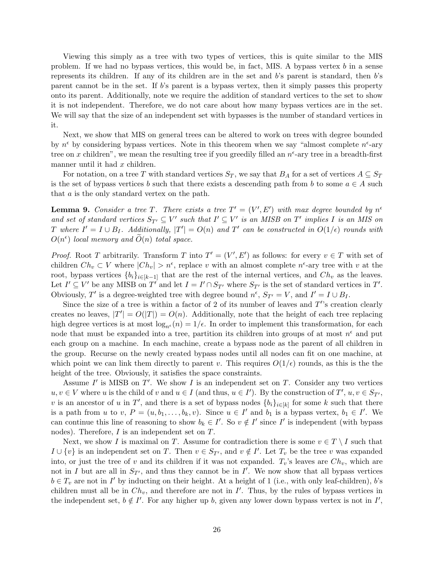Viewing this simply as a tree with two types of vertices, this is quite similar to the MIS problem. If we had no bypass vertices, this would be, in fact, MIS. A bypass vertex  $b$  in a sense represents its children. If any of its children are in the set and  $b$ 's parent is standard, then  $b$ 's parent cannot be in the set. If b's parent is a bypass vertex, then it simply passes this property onto its parent. Additionally, note we require the addition of standard vertices to the set to show it is not independent. Therefore, we do not care about how many bypass vertices are in the set. We will say that the size of an independent set with bypasses is the number of standard vertices in it.

Next, we show that MIS on general trees can be altered to work on trees with degree bounded by  $n^{\epsilon}$  by considering bypass vertices. Note in this theorem when we say "almost complete  $n^{\epsilon}$ -ary tree on x children", we mean the resulting tree if you greedily filled an  $n^{\epsilon}$ -ary tree in a breadth-first manner until it had x children.

For notation, on a tree T with standard vertices  $S_T$ , we say that  $B_A$  for a set of vertices  $A \subseteq S_T$ is the set of bypass vertices b such that there exists a descending path from b to some  $a \in A$  such that a is the only standard vertex on the path.

<span id="page-25-0"></span>**Lemma 9.** Consider a tree T. There exists a tree  $T' = (V', E')$  with max degree bounded by  $n^{\epsilon}$ and set of standard vertices  $S_{T'} \subseteq V'$  such that  $I' \subseteq V'$  is an MISB on T' implies I is an MIS on T where  $I' = I \cup B_I$ . Additionally,  $|T'| = O(n)$  and T' can be constructed in  $O(1/\epsilon)$  rounds with  $O(n^{\epsilon})$  local memory and  $\widetilde{O}(n)$  total space.

*Proof.* Root T arbitrarily. Transform T into  $T' = (V', E')$  as follows: for every  $v \in T$  with set of children  $Ch_v \subset V$  where  $|Ch_v| > n^{\epsilon}$ , replace v with an almost complete  $n^{\epsilon}$ -ary tree with v at the root, bypass vertices  ${b_i}_{i\in[k-1]}$  that are the rest of the internal vertices, and  $Ch_v$  as the leaves. Let  $I' \subseteq V'$  be any MISB on  $T'$  and let  $I = I' \cap S_{T'}$  where  $S_{T'}$  is the set of standard vertices in  $T'$ . Obviously, T' is a degree-weighted tree with degree bound  $n^{\epsilon}$ ,  $S_{T'} = V$ , and  $I' = I \cup B_I$ .

Since the size of a tree is within a factor of 2 of its number of leaves and  $T'$ 's creation clearly creates no leaves,  $|T'| = O(|T|) = O(n)$ . Additionally, note that the height of each tree replacing high degree vertices is at most  $\log_{n^{\epsilon}}(n) = 1/\epsilon$ . In order to implement this transformation, for each node that must be expanded into a tree, partition its children into groups of at most  $n^{\epsilon}$  and put each group on a machine. In each machine, create a bypass node as the parent of all children in the group. Recurse on the newly created bypass nodes until all nodes can fit on one machine, at which point we can link them directly to parent v. This requires  $O(1/\epsilon)$  rounds, as this is the the height of the tree. Obviously, it satisfies the space constraints.

Assume  $I'$  is MISB on  $T'$ . We show I is an independent set on T. Consider any two vertices  $u, v \in V$  where u is the child of v and  $u \in I$  (and thus,  $u \in I'$ ). By the construction of  $T', u, v \in S_{T'}$ , v is an ancestor of u in T', and there is a set of bypass nodes  ${b_i}_{i\in[k]}$  for some k such that there is a path from u to v,  $P = (u, b_1, \ldots, b_k, v)$ . Since  $u \in I'$  and  $b_1$  is a bypass vertex,  $b_1 \in I'$ . We can continue this line of reasoning to show  $b_k \in I'$ . So  $v \notin I'$  since I' is independent (with bypass nodes). Therefore, I is an independent set on T.

Next, we show I is maximal on T. Assume for contradiction there is some  $v \in T \setminus I$  such that  $I \cup \{v\}$  is an independent set on T. Then  $v \in S_{T'}$ , and  $v \notin I'$ . Let  $T_v$  be the tree v was expanded into, or just the tree of v and its children if it was not expanded.  $T_v$ 's leaves are  $Ch_v$ , which are not in I but are all in  $S_{T}$ , and thus they cannot be in I'. We now show that all bypass vertices  $b \in T_v$  are not in I' by inducting on their height. At a height of 1 (i.e., with only leaf-children), b's children must all be in  $Ch_v$ , and therefore are not in  $I'$ . Thus, by the rules of bypass vertices in the independent set,  $b \notin I'$ . For any higher up b, given any lower down bypass vertex is not in I',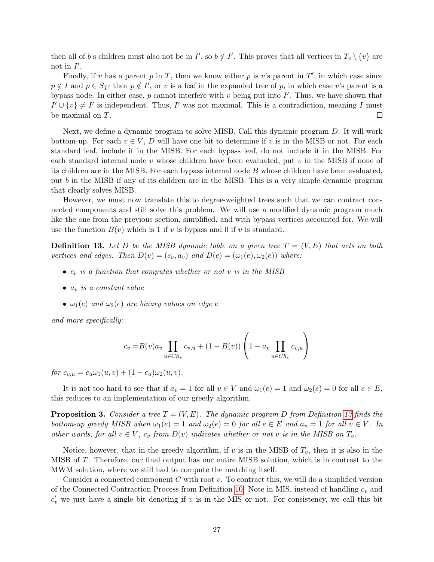then all of b's children must also not be in I', so  $b \notin I'$ . This proves that all vertices in  $T_v \setminus \{v\}$  are not in  $I'$ .

Finally, if v has a parent p in T, then we know either p is v's parent in  $T'$ , in which case since  $p \notin I$  and  $p \in S_{T'}$  then  $p \notin I'$ , or v is a leaf in the expanded tree of p, in which case v's parent is a bypass node. In either case,  $p$  cannot interfere with  $v$  being put into  $I'$ . Thus, we have shown that  $I' \cup \{v\} \neq I'$  is independent. Thus, I' was not maximal. This is a contradiction, meaning I must be maximal on T.  $\Box$ 

Next, we define a dynamic program to solve MISB. Call this dynamic program D. It will work bottom-up. For each  $v \in V$ , D will have one bit to determine if v is in the MISB or not. For each standard leaf, include it in the MISB. For each bypass leaf, do not include it in the MISB. For each standard internal node v whose children have been evaluated, put v in the MISB if none of its children are in the MISB. For each bypass internal node  $B$  whose children have been evaluated, put b in the MISB if any of its children are in the MISB. This is a very simple dynamic program that clearly solves MISB.

However, we must now translate this to degree-weighted trees such that we can contract connected components and still solve this problem. We will use a modified dynamic program much like the one from the previous section, simplified, and with bypass vertices accounted for. We will use the function  $B(v)$  which is 1 if v is bypass and 0 if v is standard.

<span id="page-26-0"></span>**Definition 13.** Let D be the MISB dynamic table on a given tree  $T = (V, E)$  that acts on both vertices and edges. Then  $D(v) = (c_v, a_v)$  and  $D(e) = (\omega_1(e), \omega_2(e))$  where:

- $c_v$  is a function that computes whether or not v is in the MISB
- $\bullet$   $a_v$  is a constant value
- $\omega_1(e)$  and  $\omega_2(e)$  are binary values on edge e

and more specifically:

$$
c_v = B(v)a_v \prod_{u \in Ch_v} c_{v,u} + (1 - B(v)) \left( 1 - a_v \prod_{u \in Ch_v} c_{v,u} \right)
$$

for  $c_{v,u} = c_u \omega_1(u, v) + (1 - c_u) \omega_2(u, v)$ .

It is not too hard to see that if  $a_v = 1$  for all  $v \in V$  and  $\omega_1(e) = 1$  and  $\omega_2(e) = 0$  for all  $e \in E$ , this reduces to an implementation of our greedy algorithm.

**Proposition 3.** Consider a tree  $T = (V, E)$ . The dynamic program D from Definition [13](#page-26-0) finds the bottom-up greedy MISB when  $\omega_1(e) = 1$  and  $\omega_2(e) = 0$  for all  $e \in E$  and  $a_v = 1$  for all  $v \in V$ . In other words, for all  $v \in V$ ,  $c_v$  from  $D(v)$  indicates whether or not v is in the MISB on  $T_v$ .

Notice, however, that in the greedy algorithm, if v is in the MISB of  $T_v$ , then it is also in the MISB of T. Therefore, our final output has our entire MISB solution, which is in contrast to the MWM solution, where we still had to compute the matching itself.

Consider a connected component  $C$  with root  $v$ . To contract this, we will do a simplified version of the Connected Contraction Process from Definition [10.](#page-22-1) Note in MIS, instead of handling  $c_v$  and  $c'_v$  we just have a single bit denoting if v is in the MIS or not. For consistency, we call this bit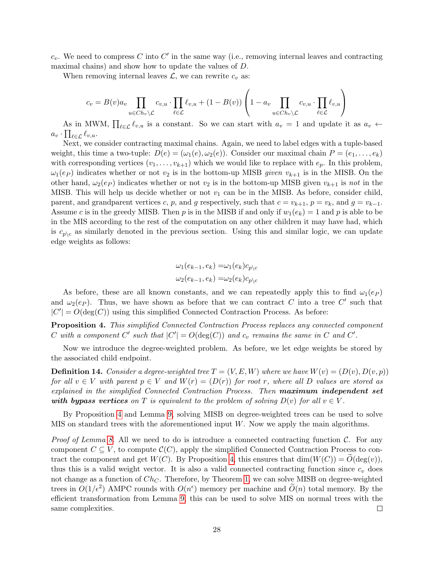$c_v$ . We need to compress C into C' in the same way (i.e., removing internal leaves and contracting maximal chains) and show how to update the values of D.

When removing internal leaves  $\mathcal{L}$ , we can rewrite  $c_v$  as:

$$
c_v = B(v)a_v \prod_{u \in Ch_v \setminus \mathcal{L}} c_{v,u} \cdot \prod_{\ell \in \mathcal{L}} \ell_{v,u} + (1 - B(v)) \left( 1 - a_v \prod_{u \in Ch_v \setminus \mathcal{L}} c_{v,u} \cdot \prod_{\ell \in \mathcal{L}} \ell_{v,u} \right)
$$

As in MWM,  $\prod_{\ell \in \mathcal{L}} \ell_{v,u}$  is a constant. So we can start with  $a_v = 1$  and update it as  $a_v \leftarrow$  $a_v \cdot \prod_{\ell \in \mathcal{L}} \ell_{v,u}.$ 

Next, we consider contracting maximal chains. Again, we need to label edges with a tuple-based weight, this time a two-tuple:  $D(e) = (\omega_1(e), \omega_2(e))$ . Consider our maximal chain  $P = (e_1, \ldots, e_k)$ with corresponding vertices  $(v_1, \ldots, v_{k+1})$  which we would like to replace with  $e_p$ . In this problem,  $\omega_1(e_P)$  indicates whether or not  $v_2$  is in the bottom-up MISB given  $v_{k+1}$  is in the MISB. On the other hand,  $\omega_2(e_P)$  indicates whether or not  $v_2$  is in the bottom-up MISB given  $v_{k+1}$  is not in the MISB. This will help us decide whether or not  $v_1$  can be in the MISB. As before, consider child, parent, and grandparent vertices c, p, and g respectively, such that  $c = v_{k+1}$ ,  $p = v_k$ , and  $g = v_{k-1}$ . Assume c is in the greedy MISB. Then p is in the MISB if and only if  $w_1(e_k) = 1$  and p is able to be in the MIS according to the rest of the computation on any other children it may have had, which is  $c_{p\setminus c}$  as similarly denoted in the previous section. Using this and similar logic, we can update edge weights as follows:

$$
\omega_1(e_{k-1}, e_k) = \omega_1(e_k)c_{p\setminus c}
$$

$$
\omega_2(e_{k-1}, e_k) = \omega_2(e_k)c_{p\setminus c}
$$

As before, these are all known constants, and we can repeatedly apply this to find  $\omega_1(e_P)$ and  $\omega_2(e_P)$ . Thus, we have shown as before that we can contract C into a tree C' such that  $|C'| = O(\deg(C))$  using this simplified Connected Contraction Process. As before:

<span id="page-27-0"></span>Proposition 4. This simplified Connected Contraction Process replaces any connected component C with a component C' such that  $|C'| = O(\deg(C))$  and  $c_v$  remains the same in C and C'.

Now we introduce the degree-weighted problem. As before, we let edge weights be stored by the associated child endpoint.

**Definition 14.** Consider a degree-weighted tree  $T = (V, E, W)$  where we have  $W(v) = (D(v), D(v, p))$ for all  $v \in V$  with parent  $p \in V$  and  $W(r) = (D(r))$  for root r, where all D values are stored as explained in the simplified Connected Contraction Process. Then maximum independent set with bypass vertices on T is equivalent to the problem of solving  $D(v)$  for all  $v \in V$ .

By Proposition [4](#page-27-0) and Lemma [9,](#page-25-0) solving MISB on degree-weighted trees can be used to solve  $MIS$  on standard trees with the aforementioned input  $W$ . Now we apply the main algorithms.

*Proof of Lemma [8.](#page-24-1)* All we need to do is introduce a connected contracting function  $\mathcal{C}$ . For any component  $C \subseteq V$ , to compute  $\mathcal{C}(C)$ , apply the simplified Connected Contraction Process to contract the component and get  $W(C)$ . By Proposition [4,](#page-27-0) this ensures that  $\dim(W(C)) = O(\deg(v)),$ thus this is a valid weight vector. It is also a valid connected contracting function since  $c_v$  does not change as a function of  $Ch_C$ . Therefore, by Theorem [1,](#page-4-0) we can solve MISB on degree-weighted trees in  $O(1/\epsilon^2)$  AMPC rounds with  $O(n^{\epsilon})$  memory per machine and  $\widetilde{O}(n)$  total memory. By the efficient transformation from Lemma [9,](#page-25-0) this can be used to solve MIS on normal trees with the same complexities.  $\Box$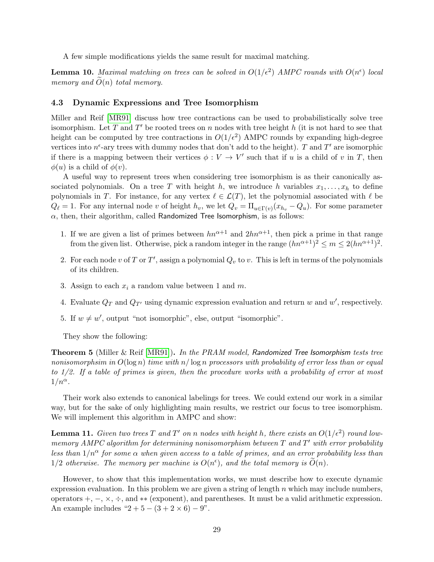A few simple modifications yields the same result for maximal matching.

**Lemma 10.** Maximal matching on trees can be solved in  $O(1/\epsilon^2)$  AMPC rounds with  $O(n^{\epsilon})$  local memory and  $O(n)$  total memory.

#### <span id="page-28-0"></span>4.3 Dynamic Expressions and Tree Isomorphism

Miller and Reif [\[MR91\]](#page-34-2) discuss how tree contractions can be used to probabilistically solve tree isomorphism. Let T and T' be rooted trees on n nodes with tree height h (it is not hard to see that height can be computed by tree contractions in  $O(1/\epsilon^2)$  AMPC rounds by expanding high-degree vertices into  $n^{\epsilon}$ -ary trees with dummy nodes that don't add to the height). T and T' are isomorphic if there is a mapping between their vertices  $\phi: V \to V'$  such that if u is a child of v in T, then  $\phi(u)$  is a child of  $\phi(v)$ .

A useful way to represent trees when considering tree isomorphism is as their canonically associated polynomials. On a tree T with height h, we introduce h variables  $x_1, \ldots, x_h$  to define polynomials in T. For instance, for any vertex  $\ell \in \mathcal{L}(T)$ , let the polynomial associated with  $\ell$  be  $Q_{\ell} = 1$ . For any internal node v of height  $h_v$ , we let  $Q_v = \prod_{u \in \Gamma(v)} (x_{h_v} - Q_u)$ . For some parameter  $\alpha$ , then, their algorithm, called Randomized Tree Isomorphism, is as follows:

- 1. If we are given a list of primes between  $hn^{\alpha+1}$  and  $2hn^{\alpha+1}$ , then pick a prime in that range from the given list. Otherwise, pick a random integer in the range  $(hn^{\alpha+1})^2 \le m \le 2(hn^{\alpha+1})^2$ .
- 2. For each node v of T or T', assign a polynomial  $Q_v$  to v. This is left in terms of the polynomials of its children.
- 3. Assign to each  $x_i$  a random value between 1 and m.
- 4. Evaluate  $Q_T$  and  $Q_{T'}$  using dynamic expression evaluation and return w and w', respectively.
- 5. If  $w \neq w'$ , output "not isomorphic", else, output "isomorphic".

They show the following:

**Theorem 5** (Miller & Reif [\[MR91\]](#page-34-2)). In the PRAM model, Randomized Tree Isomorphism tests tree nonisomorphsim in  $O(\log n)$  time with  $n/\log n$  processors with probability of error less than or equal to 1/2. If a table of primes is given, then the procedure works with a probability of error at most  $1/n^{\alpha}$ .

Their work also extends to canonical labelings for trees. We could extend our work in a similar way, but for the sake of only highlighting main results, we restrict our focus to tree isomorphism. We will implement this algorithm in AMPC and show:

<span id="page-28-1"></span>**Lemma 11.** Given two trees T and T' on n nodes with height h, there exists an  $O(1/\epsilon^2)$  round lowmemory AMPC algorithm for determining nonisomorphism between  $T$  and  $T'$  with error probability less than  $1/n^{\alpha}$  for some  $\alpha$  when given access to a table of primes, and an error probability less than  $1/2$  otherwise. The memory per machine is  $O(n^{\epsilon})$ , and the total memory is  $\widetilde{O}(n)$ .

However, to show that this implementation works, we must describe how to execute dynamic expression evaluation. In this problem we are given a string of length  $n$  which may include numbers, operators  $+$ ,  $-$ ,  $\times$ ,  $\div$ , and \*\* (exponent), and parentheses. It must be a valid arithmetic expression. An example includes " $2 + 5 - (3 + 2 \times 6) - 9$ ".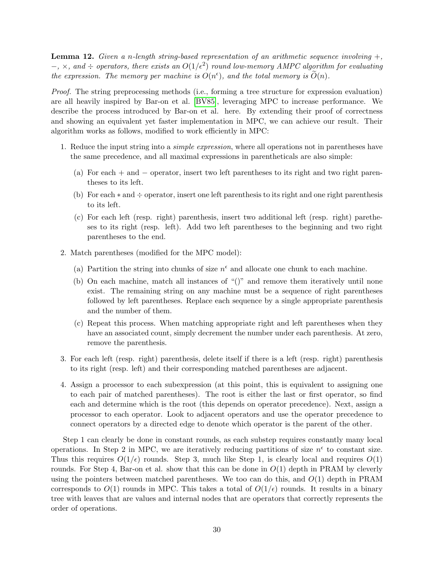<span id="page-29-0"></span>**Lemma 12.** Given a n-length string-based representation of an arithmetic sequence involving  $+$ ,  $-$ ,  $\times$ , and  $\div$  operators, there exists an  $O(1/\epsilon^2)$  round low-memory AMPC algorithm for evaluating the expression. The memory per machine is  $O(n^{\epsilon})$ , and the total memory is  $\widetilde{O}(n)$ .

Proof. The string preprocessing methods (i.e., forming a tree structure for expression evaluation) are all heavily inspired by Bar-on et al. [\[BV85\]](#page-32-12), leveraging MPC to increase performance. We describe the process introduced by Bar-on et al. here. By extending their proof of correctness and showing an equivalent yet faster implementation in MPC, we can achieve our result. Their algorithm works as follows, modified to work efficiently in MPC:

- 1. Reduce the input string into a *simple expression*, where all operations not in parentheses have the same precedence, and all maximal expressions in parentheticals are also simple:
	- (a) For each + and − operator, insert two left parentheses to its right and two right parentheses to its left.
	- (b) For each ∗ and ÷ operator, insert one left parenthesis to its right and one right parenthesis to its left.
	- (c) For each left (resp. right) parenthesis, insert two additional left (resp. right) paretheses to its right (resp. left). Add two left parentheses to the beginning and two right parentheses to the end.
- 2. Match parentheses (modified for the MPC model):
	- (a) Partition the string into chunks of size  $n^{\epsilon}$  and allocate one chunk to each machine.
	- (b) On each machine, match all instances of "()" and remove them iteratively until none exist. The remaining string on any machine must be a sequence of right parentheses followed by left parentheses. Replace each sequence by a single appropriate parenthesis and the number of them.
	- (c) Repeat this process. When matching appropriate right and left parentheses when they have an associated count, simply decrement the number under each parenthesis. At zero, remove the parenthesis.
- 3. For each left (resp. right) parenthesis, delete itself if there is a left (resp. right) parenthesis to its right (resp. left) and their corresponding matched parentheses are adjacent.
- 4. Assign a processor to each subexpression (at this point, this is equivalent to assigning one to each pair of matched parentheses). The root is either the last or first operator, so find each and determine which is the root (this depends on operator precedence). Next, assign a processor to each operator. Look to adjacent operators and use the operator precedence to connect operators by a directed edge to denote which operator is the parent of the other.

Step 1 can clearly be done in constant rounds, as each substep requires constantly many local operations. In Step 2 in MPC, we are iteratively reducing partitions of size  $n^{\epsilon}$  to constant size. Thus this requires  $O(1/\epsilon)$  rounds. Step 3, much like Step 1, is clearly local and requires  $O(1)$ rounds. For Step 4, Bar-on et al. show that this can be done in  $O(1)$  depth in PRAM by cleverly using the pointers between matched parentheses. We too can do this, and  $O(1)$  depth in PRAM corresponds to  $O(1)$  rounds in MPC. This takes a total of  $O(1/\epsilon)$  rounds. It results in a binary tree with leaves that are values and internal nodes that are operators that correctly represents the order of operations.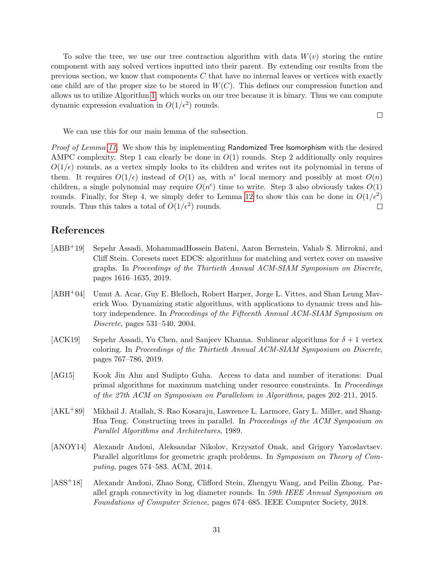To solve the tree, we use our tree contraction algorithm with data  $W(v)$  storing the entire component with any solved vertices inputted into their parent. By extending our results from the previous section, we know that components  $C$  that have no internal leaves or vertices with exactly one child are of the proper size to be stored in  $W(C)$ . This defines our compression function and allows us to utilize Algorithm [1,](#page-10-0) which works on our tree because it is binary. Thus we can compute dynamic expression evaluation in  $O(1/\epsilon^2)$  rounds.

 $\Box$ 

We can use this for our main lemma of the subsection.

Proof of Lemma [11.](#page-28-1) We show this by implementing Randomized Tree Isomorphism with the desired AMPC complexity. Step 1 can clearly be done in  $O(1)$  rounds. Step 2 additionally only requires  $O(1/\epsilon)$  rounds, as a vertex simply looks to its children and writes out its polynomial in terms of them. It requires  $O(1/\epsilon)$  instead of  $O(1)$  as, with  $n^{\epsilon}$  local memory and possibly at most  $O(n)$ children, a single polynomial may require  $O(n^{\epsilon})$  time to write. Step 3 also obviously takes  $O(1)$ rounds. Finally, for Step 4, we simply defer to Lemma [12](#page-29-0) to show this can be done in  $O(1/\epsilon^2)$ rounds. Thus this takes a total of  $O(1/\epsilon^2)$  rounds.  $\Box$ 

## References

- <span id="page-30-5"></span>[ABB+19] Sepehr Assadi, MohammadHossein Bateni, Aaron Bernstein, Vahab S. Mirrokni, and Cliff Stein. Coresets meet EDCS: algorithms for matching and vertex cover on massive graphs. In Proceedings of the Thirtieth Annual ACM-SIAM Symposium on Discrete, pages 1616–1635, 2019.
- <span id="page-30-0"></span>[ABH+04] Umut A. Acar, Guy E. Blelloch, Robert Harper, Jorge L. Vittes, and Shan Leung Maverick Woo. Dynamizing static algorithms, with applications to dynamic trees and history independence. In Proceedings of the Fifteenth Annual ACM-SIAM Symposium on Discrete, pages 531–540, 2004.
- <span id="page-30-6"></span>[ACK19] Sepehr Assadi, Yu Chen, and Sanjeev Khanna. Sublinear algorithms for  $\delta + 1$  vertex coloring. In Proceedings of the Thirtieth Annual ACM-SIAM Symposium on Discrete, pages 767–786, 2019.
- <span id="page-30-2"></span>[AG15] Kook Jin Ahn and Sudipto Guha. Access to data and number of iterations: Dual primal algorithms for maximum matching under resource constraints. In Proceedings of the 27th ACM on Symposium on Parallelism in Algorithms, pages 202–211, 2015.
- <span id="page-30-1"></span>[AKL+89] Mikhail J. Atallah, S. Rao Kosaraju, Lawrence L. Larmore, Gary L. Miller, and Shang-Hua Teng. Constructing trees in parallel. In Proceedings of the ACM Symposium on Parallel Algorithms and Architectures, 1989.
- <span id="page-30-3"></span>[ANOY14] Alexandr Andoni, Aleksandar Nikolov, Krzysztof Onak, and Grigory Yaroslavtsev. Parallel algorithms for geometric graph problems. In Symposium on Theory of Computing, pages 574–583. ACM, 2014.
- <span id="page-30-4"></span>[ASS+18] Alexandr Andoni, Zhao Song, Clifford Stein, Zhengyu Wang, and Peilin Zhong. Parallel graph connectivity in log diameter rounds. In 59th IEEE Annual Symposium on Foundations of Computer Science, pages 674–685. IEEE Computer Society, 2018.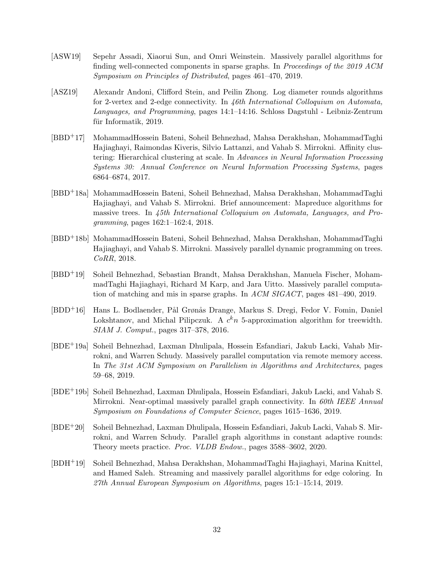- <span id="page-31-4"></span>[ASW19] Sepehr Assadi, Xiaorui Sun, and Omri Weinstein. Massively parallel algorithms for finding well-connected components in sparse graphs. In Proceedings of the 2019 ACM Symposium on Principles of Distributed, pages 461–470, 2019.
- <span id="page-31-3"></span>[ASZ19] Alexandr Andoni, Clifford Stein, and Peilin Zhong. Log diameter rounds algorithms for 2-vertex and 2-edge connectivity. In 46th International Colloquium on Automata, Languages, and Programming, pages 14:1–14:16. Schloss Dagstuhl - Leibniz-Zentrum für Informatik, 2019.
- <span id="page-31-0"></span>[BBD+17] MohammadHossein Bateni, Soheil Behnezhad, Mahsa Derakhshan, MohammadTaghi Hajiaghayi, Raimondas Kiveris, Silvio Lattanzi, and Vahab S. Mirrokni. Affinity clustering: Hierarchical clustering at scale. In Advances in Neural Information Processing Systems 30: Annual Conference on Neural Information Processing Systems, pages 6864–6874, 2017.
- <span id="page-31-10"></span>[BBD+18a] MohammadHossein Bateni, Soheil Behnezhad, Mahsa Derakhshan, MohammadTaghi Hajiaghayi, and Vahab S. Mirrokni. Brief announcement: Mapreduce algorithms for massive trees. In 45th International Colloquium on Automata, Languages, and Programming, pages 162:1–162:4, 2018.
- <span id="page-31-5"></span>[BBD+18b] MohammadHossein Bateni, Soheil Behnezhad, Mahsa Derakhshan, MohammadTaghi Hajiaghayi, and Vahab S. Mirrokni. Massively parallel dynamic programming on trees. CoRR, 2018.
- <span id="page-31-8"></span>[BBD+19] Soheil Behnezhad, Sebastian Brandt, Mahsa Derakhshan, Manuela Fischer, MohammadTaghi Hajiaghayi, Richard M Karp, and Jara Uitto. Massively parallel computation of matching and mis in sparse graphs. In ACM SIGACT, pages 481–490, 2019.
- <span id="page-31-2"></span>[BDD<sup>+</sup>16] Hans L. Bodlaender, Pål Grønås Drange, Markus S. Dregi, Fedor V. Fomin, Daniel Lokshtanov, and Michal Pilipczuk. A  $c^k n$  5-approximation algorithm for treewidth. SIAM J. Comput., pages 317–378, 2016.
- <span id="page-31-1"></span>[BDE+19a] Soheil Behnezhad, Laxman Dhulipala, Hossein Esfandiari, Jakub Lacki, Vahab Mirrokni, and Warren Schudy. Massively parallel computation via remote memory access. In The 31st ACM Symposium on Parallelism in Algorithms and Architectures, pages 59–68, 2019.
- <span id="page-31-6"></span>[BDE+19b] Soheil Behnezhad, Laxman Dhulipala, Hossein Esfandiari, Jakub Lacki, and Vahab S. Mirrokni. Near-optimal massively parallel graph connectivity. In 60th IEEE Annual Symposium on Foundations of Computer Science, pages 1615–1636, 2019.
- <span id="page-31-9"></span>[BDE+20] Soheil Behnezhad, Laxman Dhulipala, Hossein Esfandiari, Jakub Lacki, Vahab S. Mirrokni, and Warren Schudy. Parallel graph algorithms in constant adaptive rounds: Theory meets practice. Proc. VLDB Endow., pages 3588–3602, 2020.
- <span id="page-31-7"></span>[BDH+19] Soheil Behnezhad, Mahsa Derakhshan, MohammadTaghi Hajiaghayi, Marina Knittel, and Hamed Saleh. Streaming and massively parallel algorithms for edge coloring. In 27th Annual European Symposium on Algorithms, pages 15:1–15:14, 2019.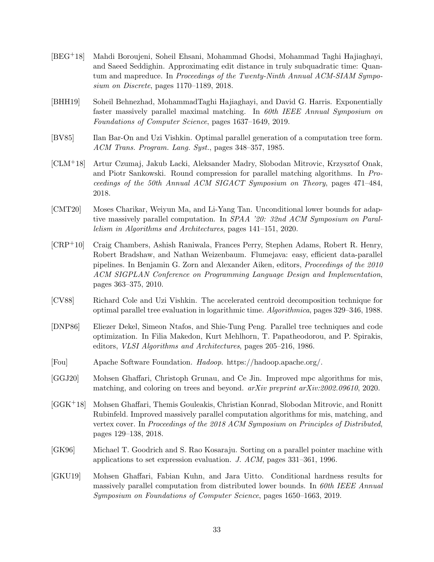- <span id="page-32-4"></span>[BEG+18] Mahdi Boroujeni, Soheil Ehsani, Mohammad Ghodsi, Mohammad Taghi Hajiaghayi, and Saeed Seddighin. Approximating edit distance in truly subquadratic time: Quantum and mapreduce. In Proceedings of the Twenty-Ninth Annual ACM-SIAM Symposium on Discrete, pages 1170–1189, 2018.
- <span id="page-32-3"></span>[BHH19] Soheil Behnezhad, MohammadTaghi Hajiaghayi, and David G. Harris. Exponentially faster massively parallel maximal matching. In 60th IEEE Annual Symposium on Foundations of Computer Science, pages 1637–1649, 2019.
- <span id="page-32-12"></span>[BV85] Ilan Bar-On and Uzi Vishkin. Optimal parallel generation of a computation tree form. ACM Trans. Program. Lang. Syst., pages 348–357, 1985.
- <span id="page-32-5"></span>[CLM+18] Artur Czumaj, Jakub Lacki, Aleksander Madry, Slobodan Mitrovic, Krzysztof Onak, and Piotr Sankowski. Round compression for parallel matching algorithms. In Proceedings of the 50th Annual ACM SIGACT Symposium on Theory, pages 471–484, 2018.
- <span id="page-32-11"></span>[CMT20] Moses Charikar, Weiyun Ma, and Li-Yang Tan. Unconditional lower bounds for adaptive massively parallel computation. In SPAA '20: 32nd ACM Symposium on Parallelism in Algorithms and Architectures, pages 141–151, 2020.
- <span id="page-32-8"></span>[CRP+10] Craig Chambers, Ashish Raniwala, Frances Perry, Stephen Adams, Robert R. Henry, Robert Bradshaw, and Nathan Weizenbaum. Flumejava: easy, efficient data-parallel pipelines. In Benjamin G. Zorn and Alexander Aiken, editors, Proceedings of the 2010 ACM SIGPLAN Conference on Programming Language Design and Implementation, pages 363–375, 2010.
- <span id="page-32-1"></span>[CV88] Richard Cole and Uzi Vishkin. The accelerated centroid decomposition technique for optimal parallel tree evaluation in logarithmic time. Algorithmica, pages 329–346, 1988.
- <span id="page-32-0"></span>[DNP86] Eliezer Dekel, Simeon Ntafos, and Shie-Tung Peng. Parallel tree techniques and code optimization. In Filia Makedon, Kurt Mehlhorn, T. Papatheodorou, and P. Spirakis, editors, VLSI Algorithms and Architectures, pages 205–216, 1986.
- <span id="page-32-7"></span>[Fou] Apache Software Foundation. Hadoop. https://hadoop.apache.org/.
- <span id="page-32-9"></span>[GGJ20] Mohsen Ghaffari, Christoph Grunau, and Ce Jin. Improved mpc algorithms for mis, matching, and coloring on trees and beyond. arXiv preprint arXiv:2002.09610, 2020.
- <span id="page-32-6"></span>[GGK+18] Mohsen Ghaffari, Themis Gouleakis, Christian Konrad, Slobodan Mitrovic, and Ronitt Rubinfeld. Improved massively parallel computation algorithms for mis, matching, and vertex cover. In Proceedings of the 2018 ACM Symposium on Principles of Distributed, pages 129–138, 2018.
- <span id="page-32-2"></span>[GK96] Michael T. Goodrich and S. Rao Kosaraju. Sorting on a parallel pointer machine with applications to set expression evaluation. J. ACM, pages 331–361, 1996.
- <span id="page-32-10"></span>[GKU19] Mohsen Ghaffari, Fabian Kuhn, and Jara Uitto. Conditional hardness results for massively parallel computation from distributed lower bounds. In 60th IEEE Annual Symposium on Foundations of Computer Science, pages 1650–1663, 2019.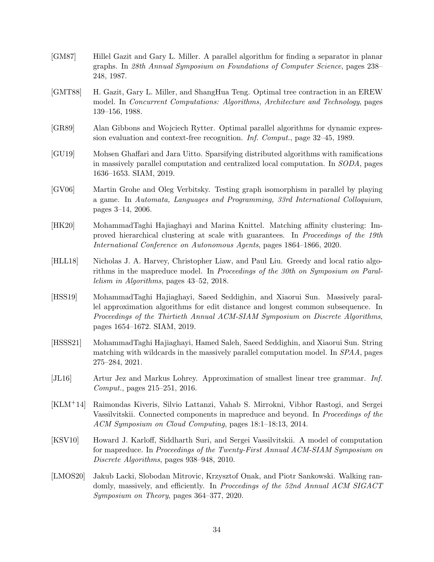- <span id="page-33-3"></span>[GM87] Hillel Gazit and Gary L. Miller. A parallel algorithm for finding a separator in planar graphs. In 28th Annual Symposium on Foundations of Computer Science, pages 238– 248, 1987.
- <span id="page-33-1"></span>[GMT88] H. Gazit, Gary L. Miller, and ShangHua Teng. Optimal tree contraction in an EREW model. In Concurrent Computations: Algorithms, Architecture and Technology, pages 139–156, 1988.
- <span id="page-33-2"></span>[GR89] Alan Gibbons and Wojciech Rytter. Optimal parallel algorithms for dynamic expression evaluation and context-free recognition. Inf. Comput., page 32–45, 1989.
- <span id="page-33-10"></span>[GU19] Mohsen Ghaffari and Jara Uitto. Sparsifying distributed algorithms with ramifications in massively parallel computation and centralized local computation. In SODA, pages 1636–1653. SIAM, 2019.
- <span id="page-33-4"></span>[GV06] Martin Grohe and Oleg Verbitsky. Testing graph isomorphism in parallel by playing a game. In Automata, Languages and Programming, 33rd International Colloquium, pages 3–14, 2006.
- <span id="page-33-6"></span>[HK20] MohammadTaghi Hajiaghayi and Marina Knittel. Matching affinity clustering: Improved hierarchical clustering at scale with guarantees. In Proceedings of the 19th International Conference on Autonomous Agents, pages 1864–1866, 2020.
- <span id="page-33-7"></span>[HLL18] Nicholas J. A. Harvey, Christopher Liaw, and Paul Liu. Greedy and local ratio algorithms in the mapreduce model. In Proceedings of the 30th on Symposium on Parallelism in Algorithms, pages 43–52, 2018.
- <span id="page-33-11"></span>[HSS19] MohammadTaghi Hajiaghayi, Saeed Seddighin, and Xiaorui Sun. Massively parallel approximation algorithms for edit distance and longest common subsequence. In Proceedings of the Thirtieth Annual ACM-SIAM Symposium on Discrete Algorithms, pages 1654–1672. SIAM, 2019.
- <span id="page-33-12"></span>[HSSS21] MohammadTaghi Hajiaghayi, Hamed Saleh, Saeed Seddighin, and Xiaorui Sun. String matching with wildcards in the massively parallel computation model. In SPAA, pages 275–284, 2021.
- <span id="page-33-5"></span>[JL16] Artur Jez and Markus Lohrey. Approximation of smallest linear tree grammar. Inf. Comput., pages 215–251, 2016.
- <span id="page-33-0"></span>[KLM+14] Raimondas Kiveris, Silvio Lattanzi, Vahab S. Mirrokni, Vibhor Rastogi, and Sergei Vassilvitskii. Connected components in mapreduce and beyond. In Proceedings of the ACM Symposium on Cloud Computing, pages 18:1–18:13, 2014.
- <span id="page-33-9"></span>[KSV10] Howard J. Karloff, Siddharth Suri, and Sergei Vassilvitskii. A model of computation for mapreduce. In Proceedings of the Twenty-First Annual ACM-SIAM Symposium on Discrete Algorithms, pages 938–948, 2010.
- <span id="page-33-8"></span>[LMOS20] Jakub Lacki, Slobodan Mitrovic, Krzysztof Onak, and Piotr Sankowski. Walking randomly, massively, and efficiently. In *Proccedings of the 52nd Annual ACM SIGACT* Symposium on Theory, pages 364–377, 2020.